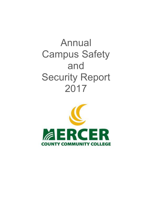# Annual Campus Safety and Security Report 2017

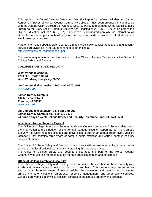This report is the Annual Campus Safety and Security Report for the West Windsor and James Kerney Campuses of Mercer County Community College. It has been produced in compliance with the Jeanne Clery Disclosure of Campus Security Policy and campus Crime Statistics (also known as the Clery Act or Campus Security Act), codified at 20 U.S.C. 1092(f) as part of the Higher Education Act of 1965 (HEA). This report is distributed annually via Internet to all students and employees. A hard copy of this report is made available to all students and employees upon request.

Further information about Mercer County Community College's policies, regulations and security services are available in the Student handbook or on line at <http://www.mccc.edu/pdf/handbook.pdf>

Employees may obtain further information from the Office of Human Resources or the Office of College Safety and Security.

## **COLLEGE SAFETY AND SECURITY**

**West Windsor Campus 1200 Old Trenton Road West Windsor, New jersey 08550**

**On-Campus dial extension 3200 or 609-570-3503** *[www.mccc.edu](http://www.mccc.edu/)*

**James Kerney Campus 102 N. Broad Street Trenton, NJ 08608** *[www.mccc.edu](http://www.mccc.edu/)*

**On-Campus dial extension 3175 Off Campus James Kerney Campus dial: 609-570-3175 24 hour/7 days a week College Safety and Security Telephone Line: 609-570-3503**

## **What is an Annual Security Report?**

The Office of College Safety and Security at Mercer County Community College assistance in the preparation and distribution of the Annual Campus Security Report as per the Campus Security Act, which requires colleges and universities to publish an annual report every year by October 1 that contains three years of campus crime statistics and certain campus security policy statements.

The Office of College Safety and Security works closely with several other college departments as well as the local police departments in compiling this report each year.

The Office of College Safety and Security encourages members of the Mercer County Community to use this report as a guide for safe practices both on and off campus.

## **Office of College Safety and Security**

The Office of College Safety and Security works to provide the members of the community with a safe and pleasant environment in which to work and learn. This involves the protection of life and property, the enforcement of college policies, the prevention and detection of on-campus crimes and other violations, emergency response management, and other safety services. College Safety and Security's jurisdiction consists of on campus property and grounds.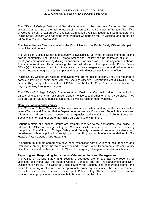The Office of College Safety and Security is located in the Welcome Center on the West Windsor Campus and at the main entrance of the James Kerney Campus in Trenton. The Office of College Safety is staffed by a Director, Commanding Officer, Lieutenant Commanders and Public Safety Officers who patrol the West Windsor Campus on foot, in vehicles, and on bicycle 24 hours a day, 365 days a year.

The James Kerney Campus located in the City of Trenton has Public Safety Officers who patrol in vehicles and on foot.

The Office of College Safety and Security is available at all times to assist members of the college community. The Office of College Safety and Security can be contacted at 609-570- 3503 (non-emergencies) or by dialing extension 3200 or extension 3503 via any campus phone. The communications officer receiving the call will dispatch the appropriate Public Safety Officer(s) to the scene. In addition, there are code blue emergency phones and red emergency phones located throughout both campuses that provide direct connection to the office.

Public Safety Officers are College employees who are not police officers. They are required to complete training in compliance with the Security Officer(s) Registration Act (SORA) of New Jersey. They are qualified in first aid, CPR-AED for the Health Care Provider and participate in ongoing training throughout the year.

The Office of College Safety's Communications Desk is staffed with trained communication officers who answer calls for service, dispatch officers, and other emergency services. They also provide for Student Identification cards as well as register motor vehicles.

## **Campus Policing and Security**

The Office of College Safety and Security maintains excellent working relationships with the West Windsor and Trenton Police Departments as well as County and State Police agencies. Information is disseminated between these agencies and the Office of College Safety and Security in an on-going effort to maintain a safe campus environment.

Serious matters of a criminal nature are promptly reported to the appropriate local police. In addition, the Office of College Safety and Security assists victims, upon request, in contacting the police. The Office of College Safety and Security reviews all reported incidents and coordinates with local police in classifying and compiling reportable offenses as defined in *The Handbook for Campus Crime Reporting.*

In addition, mutual aid agreements have been established with a variety of local agencies and institutions, among them the West Windsor and Trenton Police Departments, Mercer County Sheriff's Office and the Mercer County Office of Emergency Management and area schools.

## **Reporting and Responding To Incidents, Criminal Actions and Emergencies**

The Office of College Safety and Security encourages prompt and accurate reporting of violations of criminal law, the student Code of Conduct, and the Anti-Harassment and Non-Discrimination Policy. The Office of College Safety and Security also encourages prompt and accurate reporting of all crimes to the appropriate police agencies when the victim of a crime elects to, or is unable to, make such a report. Public Safety officers respond to on-campus locations as appropriate and are available to take reports at the office.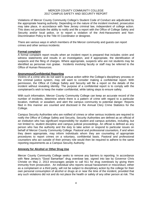Violations of Mercer County Community College's Student Code of Conduct are adjudicated by the appropriate hearing authority. Depending on the nature of the incident involved, prosecution may take place, in accordance with New Jersey criminal law, independent of college action. This does not preclude the ability to notify and file a report with the Office of College Safety and Security and/or local police, or to report a violation of the Anti-Harassment and Non-Discrimination Policy to the Title IX Coordinator or designee.

There are various ways in which members of the Mercer community and guests can report crimes and other serious incidents:

## **Formal complaint**

A formal complaint report results when an incident report is prepared that includes victim and witness statements and results in an investigation, and if appropriate, the identification of suspects and the filing of charges. Where appropriate, suspects who are not students may be identified as personae non gratae. Incidents involving faculty or staff may be referred to the Office of Human Resources.

## **Anonymous/Confidential Reporting**

Victims of a crime who do not want to pursue action within the College's disciplinary process or the criminal justice system, may still want to consider making a confidential report. With permission, the Office of College Safety and Security will file a report on the details of the incident without revealing identity. The purpose of a confidential report is to comply with the complainant's wish to keep the matter confidential, while taking steps to ensure safety.

With such information, Mercer County Community College can keep an accurate record of the number of incidents, determine where there is a pattern of crime with regard to a particular location, method, or assailant, and alert the campus community to potential danger. Reports filed in this manner are counted and disclosed in the Annual Clery Crime Statistics for the College.

Campus Security Authorities who are notified of crimes or other serious incidents are required to notify the Office of College Safety and Security. Security Authorities are defined as an official of an institution who has significant responsibility for student and campus activities, including, but not limited to, student discipline and campus judicial proceedings. An official is defined as any person who has the authority and the duty to take action or respond to particular issues on behalf of Mercer County Community College. Pastoral and professional counselors, if and when they deem appropriate, may inform individuals whom they are counseling of appropriate procedures to report crimes on a voluntary, confidential basis. Pastoral and professional counselors who act outside of their primary role would then be required to adhere to the same reporting requirements as a Campus Security Authority.

## **Amnesty for Alcohol or Other Drug Use**

Mercer County Community College seeks to remove any barriers to reporting. In accordance with [New Jersey's "Good Samaritan" drug overdose law,](http://www.ncsl.org/research/civil-and-criminal-justice/drug-overdose-immunity-good-samaritan-laws.aspx) signed into law by Governor Chris Christie on May 2, 2013 encourages people to call 911 for drug overdoses by giving them immunity from prosecution. An individual who reports sexual harassment or misconduct, either as a complainant or a third party, will not be subject to disciplinary action by the college for their own personal consumption of alcohol or drugs at or near the time of the incident, provided that any such violations did not and do not place the health or safety of any other person at risk. The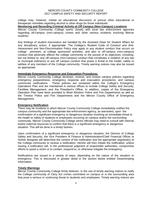college may, however, initiate an educational discussion or pursue other educational or therapeutic remedies regarding alcohol or other drugs for those individuals.

## **Monitoring and Recording Criminal Activity at Off Campus (Non-Campus) Locations**

Mercer County Community College works closely with local law enforcement agencies regarding off-campus (non-campus) crimes and other serious incidents involving Mercer students.

Any findings of student misconduct are handled by the Assistant Dean for Student Affairs for any disciplinary action, if appropriate. The College's Student Code of Conduct and Anti-Harassment and Non-Discrimination Policy may apply to any student conduct that occurs on college premises, at college sponsored activities, and also to off-campus (non-campus) conduct that adversely affects the college community or the pursuit of its objectives, including, but not limited to, any off-campus (non-campus) conduct that constitutes a violation of any law or municipal ordinance or any off campus conduct that poses a threat to the health, safety or welfare of any members of the College community. Timely warning notices may also be issued as appropriate.

## **Immediate Emergency Response and Evacuation Procedures**

Mercer County Community College develops, reviews, and revises campus policies regarding emergency preparedness, emergency response and evacuation procedures, and campus community notifications. These policies are contained within the College's Emergency Operations Plan and are maintained in various offices to include College Safety and Security, Facilities Management, and the President's Office. In addition, copies of the Emergency Operation Plan have been provided to West Windsor Police and Fire Departments as well as the Trenton Police and Fire Departments and the Mercer County Office of Emergency Management.

## **Emergency Notification**

There may be incidents in which Mercer County Community College immediately notifies the campus community and the appropriate law enforcement agency, as warranted, upon the confirmation of a significant emergency or dangerous situation involving an immediate threat to the health or safety of students or employees occurring on campus and/or the surrounding community. Mercer County Community College senior officials may need to consult with internal and/or external resources to confirm that there is a significant emergency or dangerous situation. This will be done in a timely fashion.

Upon confirmation of a significant emergency or dangerous situation, the Director of College Safety and Security, the Vice President of Finance & Administration/Chief Financial Officer or his/her designee will determine the content of the notification and the appropriate segment(s) of the College community to receive a notification. He/she will then initiate the notification, unless issuing a notification will, in the professional judgment of responsible authorities, compromise efforts to assist a victim or to contain, respond to, or otherwise mitigate the emergency.

Notifications are issued in a variety of ways, depending on the nature of the situation or emergency. This is discussed in greater detail in the section below entitled Disseminating Information.

## **Timely Warnings**

Mercer County Community College firmly believes in the use of timely warning notices to notify the College community of Clery Act crimes committed on campus or in the surrounding area that pose a serious or continuing threat to students and employees. Timely warning notices are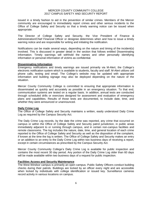issued in a timely fashion to aid in the prevention of similar crimes. Members of the Mercer community are encouraged to immediately report crimes and other serious incidents to the Office of College Safety and Security so that a timely warning notice can be issued when appropriate.

The Director of College Safety and Security, the Vice President of Finance & Administration/Chief Financial Officer or designee determines when and how to issue a timely warning notice and are responsible for writing and initiating the notification.

Notifications can be made several ways, depending on the nature and timing of the incident(s) involved. This is discussed in greater detail in the section that follows entitled Disseminating Information. Timely warnings will withhold the names and other personally identifying information or personal information of victims as confidential.

## **Disseminating Information**

Emergency notifications and timely warnings are issued primarily via M-Alert, the College's electronic notification system which is available to students, faculty and staff. M-Alert utilizes cell phone calls, texting and email. The College's website may be updated with appropriate information and building signage may also be deployed depending on the nature of the situation.

Mercer County Community College is committed to ensuring that appropriate information is disseminated as quickly and accurately as possible in an emergency situation. To that end, communication systems are tested on a regular basis. In addition, annual tests are conducted through scheduled drills or exercises designed for assessment and evaluation of emergency plans and capabilities. Results of those tests are documented, to include date, time, and whether they were announced or unannounced.

## **Daily Crime Log**

The Office of College Safety and Security maintains a written, easily understood Daily Crime Log as required by the Campus Security Act.

The Daily Crime Log records, by the date the crime was reported, any crime that occurred on campus or within the Office of College Safety and Security patrol jurisdiction, in public areas immediately adjacent to or running through campus, and in certain non-campus facilities and remote classrooms. The log includes the nature, date, time, and general location of each crime reported to the Office of College Safety and Security as well as the disposition of the complaint, if known at the time the log is written. The Office of College Safety and Security makes an entry or an addition to an entry to the Daily Crime Log within two business days of receiving a report, except in certain circumstances as prescribed by the Campus Security Act.

Mercer County Community College's Daily Crime Log is available for public inspection and contains the most recent 30 day period. Any portion of the Daily Crime Log older than 60 days will be made available within two business days of a request for public inspection.

## **Facilities Access and Security Maintenance**

The West Windsor campus is primarily an open campus. Public Safety Officers conduct building checks during their patrols. Buildings are locked by an officer every night and are accessible when locked by individuals with college identification or issued key. Surveillance cameras record activity in various locations on campus.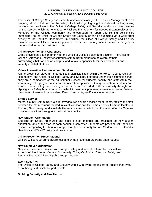The Office of College Safety and Security also works closely with Facilities Management in an on-going effort to help ensure the safety of all buildings. Lighting illuminates all parking areas, buildings, and walkways. The Office of College Safety and Security conducts routine campus lighting surveys which are forwarded to Facilities Management for needed repairs/replacement. Members of the College community are encouraged to report any lighting deficiencies immediately to the Office of College Safety and Security or can be submitted via a work order directly to the Facilities Department. In addition, the Office of College Safety and Security maintains an on-call list of Facilities personnel in the event of any facilities related emergencies that occur after normal business hours.

## **Crime Prevention and Awareness**

Crime prevention is a high priority for the Office of College Safety and Security. The Office of College Safety and Security encourages community members to be aware of their surroundings, both on and off campus, and to take responsibility for their own safety and security and that of others.

## **Crime Prevention Resources and Services**

Crime prevention plays an important and significant role within the Mercer County College community. The Office of College Safety and Security operates under the assumption that they are a component of the educational process for students, faculty and staff within the community. The program relies on a cooperation approach. During orientation, students are informed of all safety and security services that are provided to the community through our Spotlight on Safety brochures, and similar information is presented to new employees. Safety Awareness Presentations are also offered to students, staff/faculty upon request.

## **Shuttle Service:**

Mercer County Community College provides free shuttle services for students, faculty and staff between the main campus located in West Windsor and the James Kerney Campus located in Trenton, New Jersey. Additional shuttle services are provided from the West Windsor Campus to various locations throughout the local community.

## **New Student Orientation:**

Spotlight on Safety brochures and other printed material are presented at new student orientation, and at the start of each academic semester. Students are provided with additional resources regarding the Annual Campus Safety and Security Report, Student Code of Conduct Handbook and Title IX policy and procedures.

## **Crime Prevention Presentations:**

Officers will conduct crime awareness and crime prevention programs upon request.

## **New Employee Orientation:**

New employees are provided with campus safety and security information, as well as a copy of the Mercer County Community College's Annual Campus Safety and Security Report and Title IX policy and procedures.

## **Event Security:**

The Office of College Safety and Security works with event organizers to ensure that every event being held is safe for participants.

## **Building Security and Fire Alarms:**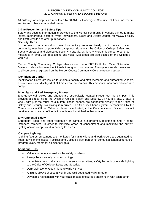All buildings on campus are monitored by STANLEY Convergent Security Solutions, Inc. for fire, smoke and other alarm related issues.

#### **Crime Prevention and Safety Tips:**

Safety and security information is provided to the Mercer community in various printed formats: letters, memoranda, posters, flyers, newsletters, News and Events Update for MCCC Faculty and Staff**,** emails and other publications.

#### **Security Alerts:**

In the event that criminal or hazardous activity requires timely public notice to alert community members of potentially dangerous situations, the Office of College Safety and Security prepares and distributes security alerts via M Alert. M Alert is designed to send out messages in email, text messaging and voice. Messages are also posted on the College's web site.

Mercer County Community College also utilizes the ALERTUS Unified Mass Notification System to alert all or select individuals throughout our campus. The system sends messages to all computers registered on the Mercer County Community College network system.

## **Identification Cards:**

Identification Cards are issued to students, faculty and staff members and authorized vendors. ID's are worn and displayed at all times while on campus. This prevents unauthorized access to campus.

## **Blue Light and Red Emergency Phones:**

Emergency call boxes and phones are strategically located through-out the campus. This provides a direct line to the Office of College Safety and Security, 24 hours a day, 7 days a week, with just the touch of a button. These phones are connected directly to the Office of Safety and Security. No dialing is required. The Security Phone System is monitored by the Communication Officer. When a phone is activated, if the Communication Officer does not receive a response, an officer is immediately dispatched to that location.

## **Environmental Safety:**

Shrubbery, trees, and other vegetation on campus are groomed, maintained and in some instances removed, in order to minimize areas of concealment and maximize the current lighting across campus and in parking lot areas.

## **Campus Lighting:**

Lighting fixtures on campus are monitored for malfunctions and work orders are submitted to repair any lighting issues. Facilities and College Safety personnel conduct a light maintenance program every month for all exterior lights.

## **Additional Tips**

- Value your safety as well as the safety of others.
- Always be aware of your surroundings.
- Immediately report all suspicious persons or activities, safety hazards or unsafe lighting to the Office of College Safety and Security.
- Don't walk alone. Get a friend to walk with you.
- At night, always choose a well-lit and well-populated walking route.
- Develop a relationship with your class mates; encourage checking in with each other.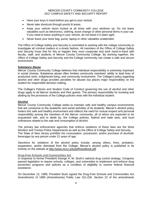- Have your keys in hand before you get to your vehicle.
- Never take shortcuts through poorly lit areas.
- Keep your vehicle doors locked at all times with your windows up. Do not leave valuables such as electronics, clothing, loose change or other personal items in your car. If you need to leave anything in your vehicle, do not leave it in plain sight.
- Never leave your book bag, purse, laptop or other valuables unattended.

The Office of College Safety and Security is committed to working with the college community to investigate all criminal matters in a timely fashion. All members of the Office of College Safety and Security know that for this to happen they must cooperate and work hand-in-hand with faculty, staff, and students of Mercer County Community College. By working together, the Office of College Safety and Security and the College community can create a safe and secure environment.

## **Substance Abuse**

Mercer County Community College believes that individual responsibility is extremely important in social choices. Substance abuse often hinders community members' ability to lead lives of productive work, enlightened living, and community involvement. The College's policy regarding alcohol and other drugs provides penalties for abuses but places major responsibility on the student for responsible decision making.

The College's Policies and Student Code of Conduct governing the use of alcohol and other drugs apply to all Mercer students and their guests. The primary responsibility for knowing and abiding by the provisions of the College policies rests with the individual student.

## **Alcohol**

Mercer County Community College seeks to maintain safe and healthy campus environments that are conducive to the academic and social activities of its students. Mercer's alcohol policy fosters this safe and healthy environment and reflects the need for mutual respect and personal responsibility among the members of the Mercer community, all of whom are expected to be acquainted with, and to abide by, the College policies, federal and state laws, and local ordinances related to the sale and consumption of alcohol.

The primary law enforcement agencies that enforce violations of these laws are the West Windsor and Trenton Police Departments as well as the Office of College Safety and Security. The State of New Jersey prohibits the consumption, possession, and/or purchase of alcoholic beverages by any person under 21 years of age.

Sanctions for violations of the alcohol policy include, among others, fines, probation, suspension, and/or dismissal from the College. Mercer's alcohol policy is published in its entirety on the website at http://www.mccc.edu/pdf/handbook.pdf

## **Drug-Free Schools and Communities Act**

In response to former President George H. W. Bush's national drug control strategy, Congress passed legislation to require schools, colleges, and universities to implement and enforce drug prevention programs and policies as a condition of eligibility to receive federal financial assistance.

On December 12, 1989, President Bush signed the Drug-Free Schools and Communities Act Amendments of 1989 (Amendments) Public Law 101-226. Section 22 of the amendments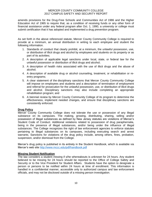amends provisions for the Drug-Free Schools and Communities Act of 1986 and the Higher Education Act of 1965 to require that, as a condition of receiving funds or any other form of financial assistance under any federal program after Oct. 1, 1990, a university or college must submit certification that it has adopted and implemented a drug prevention program.

As set forth in the above referenced statute, Mercer County Community College is required to provide at a minimum, an annual distribution in writing to each employee and student the following information.

- 1. Standards of conduct that clearly prohibit, at a minimum, the unlawful possession, use, or distribution of illicit drugs and alcohol by employees and students on its property or as part of its activities;
- 2. [A description of applicable legal sanctions under local, state, or federal law for the](http://cms.bsu.edu/About/AdministrativeOffices/StudentRights/PoliciesandProcedures/SDFCampus/Drug.aspx)  [unlawful possession or distribution of illicit drugs and alcohol;](http://cms.bsu.edu/About/AdministrativeOffices/StudentRights/PoliciesandProcedures/SDFCampus/Drug.aspx)
- 3. [A description of health risks associated with the use of illicit drugs and the abuse of](http://cms.bsu.edu/About/AdministrativeOffices/StudentRights/PoliciesandProcedures/SDFCampus/Health.aspx)  [alcohol;](http://cms.bsu.edu/About/AdministrativeOffices/StudentRights/PoliciesandProcedures/SDFCampus/Health.aspx)
- 4. [A description of available drug or alcohol counseling, treatment, or rehabilitation or re](http://cms.bsu.edu/About/AdministrativeOffices/StudentRights/PoliciesandProcedures/SDFCampus/Campus.aspx)[entry programs;](http://cms.bsu.edu/About/AdministrativeOffices/StudentRights/PoliciesandProcedures/SDFCampus/Campus.aspx)
- 5. A clear statement of the [disciplinary sanctions](http://cms.bsu.edu/About/AdministrativeOffices/StudentRights/PoliciesandProcedures/SDFCampus/Disciplinary.aspx) that Mercer County Community College will impose on employees and students and a description of termination of employment and referral for prosecution for the unlawful possession, use, or distribution of illicit drugs and alcohol. Disciplinary sanctions may also include completing an appropriate rehabilitation program; and
- 6. A biennial review by Mercer County Community College of its program to determine the effectiveness, implement needed changes, and ensure that disciplinary sanctions are consistently enforced.

## **Drug Policy**

Mercer County Community College does not tolerate the use or possession of any illegal substance on its campuses. The making, growing, distributing, sharing, selling and/or possession of illegal substances as defined by New Jersey statutes are violations of Mercer's Student Code of Conduct. Additional violations related to possession of drug paraphernalia, being in the presence of illegal substances, and/or being under the influence of illegal substances. The College recognizes the right of law enforcement agencies to enforce statutes pertaining to illegal substances on its campuses, including executing search and arrest warrants. Sanctions for violations of the drug policy include, among others, fines, probation, suspension, and/or dismissal from the College.

Mercer's drug policy is published in its entirety in the Student Handbook, which is available via Mercer's web site<http://www.mccc.edu/pdf/handbook.pdf>

## **Missing Student Notification**

The law considers a student missing if s/he whereabouts is unknown for 24 hours. Any student believed to be missing for 24 hours should be reported to the Office of College Safety and Security or to the Vice President for Student Affairs. Students have the option to designate a person or persons to be notified within 24 hours at time of enrollment. This information is handled in a confidential manner, accessible only to authorized campus and law enforcement officials, and may not be disclosed outside of a missing person investigation.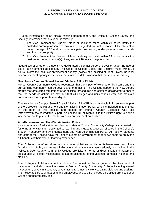If, upon investigation of an official missing person report, the Office of College Safety and Security determines that a student is missing:

- 1. The Vice President for Student Affairs or designee must, within 24 hours, notify the custodial parent/guardian and any other designated contact person(s) if the student is under the age of 18 and is non-emancipated (remaining under parental care, custody and financial support).
- 2. The Vice President for Student Affairs or designee must, within 24 hours, notify the designated contact person(s) of any student 18 years of age or older.

Regardless of whether a student has designated a contact person, is over or under the age of 18, or is an emancipated minor, The Office of College Safety and Security must, within 24 hours, inform the local law enforcement agency (police) of a missing student, unless the local law enforcement agency is the entity that made the determination that the student is missing.

## **New Jersey Campus Sexual Assault Victim's Bill of Rights**

Mercer County Community College recognizes that the impact of violence on its victims and the surrounding community can be severe and long lasting. The College supports the New Jersey statute that articulates requirements for policies, procedures and services designated to ensure that the needs of victims are met and that all colleges and universities create and maintain communities that support human dignity.

The New Jersey Campus Sexual Assault Victim's Bill of Rights is available in its entirety as part of the College's Anti-Harassment and Non-Discrimination Policy, which is included in its entirety at the back of this booklet and posted on Mercer County College's Web site (http://www.mccc.edu/pdf/title-ix.pdf). As per the Bill of Rights, it is the victim's right to decide whether or not to pursue the matter with law enforcement authorities.

## **Anti-Harassment and Non-Discrimination Policy**

As a community of educators and learners, Mercer County Community College is committed to fostering an environment dedicated to learning and mutual respect as reflected in the College's Student Handbook and Anti-Harassment and Non-Discrimination Policy. All faculty, students and staff at the College have the right to expect an environment that allows them to enjoy the full benefits of their work or learning experience.

The College, therefore, does not condone violations of its Anti-Harassment and Non-Discrimination Policy and treats all allegations about violations very seriously. As outlined in the Policy, Mercer County Community College prohibits all forms of discrimination, harassment, sexual assault, sexual misconduct, sexual harassment, dating violence, domestic violence and stalking.

The College's Anti-Harassment and Non-Discrimination Policy governs the treatment of harassment and discrimination cases at Mercer County Community College including sexual harassment, sexual misconduct, sexual assault, domestic violence, dating violence and stalking. The Policy applies to all students and employees, and to third- parties on College premises or at College sponsored activities.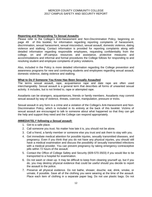## **Reporting and Responding To Sexual Assaults**

Please refer to the College's Anti-Harassment and Non-Discrimination Policy, beginning on page 49 of this booklet, for information regarding reporting complaints of harassment, discrimination, sexual harassment, sexual misconduct, sexual assault, domestic violence, dating violence and stalking. Contact information is provided for reporting complaints along with detailed information regarding responsible employees, requesting confidentiality from the college, on and off-campus resources and assistance, protective measures and accommodations and informal and formal procedures the College follows for responding to and resolving student and employee complaints of policy violations.

Also, included in the Policy is more detailed information regarding the College prevention and awareness programs for new and continuing students and employees regarding sexual assault, domestic violence, dating violence and stalking.

## **What to Do if Someone You Know Has Been Sexually Assaulted**

The terms sexual assault, rape, acquaintance rape and date rape are often used interchangeably. Sexual assault is a general term that describes all forms of unwanted sexual activity. It includes, but is not limited to, rape or attempted rape.

Assailants can be strangers, acquaintances, friends or family members. Assailants may commit sexual assault by way of violence, threats, coercion, manipulation, pressure or tricks.

Sexual assault in any form is a crime and a violation of the College's Anti-Harassment and Non-Discrimination Policy, which is included in its entirety at the back of this booklet. Victims of sexual assault are encouraged to talk to someone about what happened so that they can get the help and support they need and the College can respond appropriately.

## *IMMEDIATELY following a Sexual assault:*

- 1. Get to a safe place.
- 2. Call someone you trust. No matter how late it is, you should not be alone.
- 3. Call a friend, a family member or someone else you trust and ask them to stay with you.
- 4. Get immediate medical attention for possible injuries, sexually transmitted diseases, and pregnancy. Even if you think that you do not have any physical injuries, you should still have a medical examination and discuss the possibility of sexually transmitted infections with a medical provider. You can prevent pregnancy by taking emergency contraceptive pills within 72 hours of the assault.
- 5. Contact the Office of College Safety and Security (609-570-3503) if you would like to be transported to a hospital for examination.
- 6. Do not wash or clean up. It may be difficult to keep from cleaning yourself up, but if you do, you may destroy physical evidence that could be useful should you decide to report the assault to the police.
- 7. Preserve all physical evidence. Do not bathe, shower, douche, eat, drink, smoke, or urinate, if possible. Save all of the clothing you were wearing at the time of the assault. Place each item of clothing in a separate paper bag. Do not use plastic bags. Do not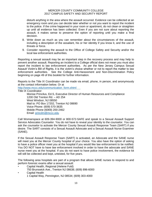disturb anything in the area where the assault occurred. Evidence can be collected at an emergency room and you can decide later whether or not you want to report the incident to the police. If the crime happened in your room or apartment, do not clean or straighten up until all evidence has been collected. Even if you are not sure about reporting the assault, it makes sense to preserve the option of reporting until you make a final decision.

- 8. Write down as much as you can remember about the circumstances of the assault, including a description of the assailant, his or her identity if you know it, and the use of threats or force.
- 9. Consider reporting the assault to the Office of College Safety and Security and/or the local law enforcement authorities.

Reporting a sexual assault may be an important step in the recovery process and may help to prevent another assault. Reporting an incident to a College official does not mean you must also report the incident to law enforcement authorities. As per the New Jersey Campus Sexual Assault Victim's Bill of Rights, it is the victim's choice whether or not to report the matter to law enforcement authorities. See the College Anti-Harassment and Non-Discrimination Policy beginning on page 49 of this booklet for further information.

Reports to the Title IX Coordinator can be made via email, phone, in person, and anonymously at the contact information below. Or at

[http://www.mccc.edu/communication\\_form.shtml](http://www.mccc.edu/communication_form.shtml)

Title IX Coordinator:

Monise Princilus, Ed.S, Executive Director of Human Resources and Compliance 1200 Old Trenton Rd. – AD 254 West Windsor, NJ 08550 Mail to: PO Box 17202, Trenton NJ 08690 Voice Phone: (609) 570-3635 Mobile Phone (6069) 200-2462 Email: [princilm@mccc.edu](mailto:princilm@mccc.edu)

Call Womanspace at 609-394-9000 or 800-572-SAFE and speak to a Sexual Assault Support Service Advocates Counselor. You do not have to reveal your identity to the counselor. You can ask the counselor to activate the Mercer County Sexual Assault Response Team (SART) if you desire. The SART consists of a Sexual Assault Advocate and a Sexual Assault Nurse Examiner (SANE).

If the Sexual Assault Response Team (SART) is activated, an Advocate and the SANE nurse will meet you at the Mercer County hospital of your choice. You also have the option of asking to have a police officer meet you at the hospital if you would like law enforcement to be notified. You DO NOT have to have law enforcement involved in order to have the advocate and SANE nurse meet you at the hospital. If you do not want to have police involvement, the evidence kit will still be collected and kept, untested, for five years.

The following area hospitals are part of a program that allows SANE nurses to respond to and perform forensic exams after a sexual assault:

- Capital Health, Regional (Helene Fuld)
	- 750 Brunswick Ave., Trenton NJ 08638; (609) 896-6000
- Capital Health
	- 1 Capital Way, Pennington, NJ 08534; (609) 303-4000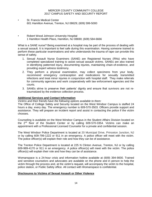- St. Francis Medical Center 601 Hamilton Avenue, Trenton, NJ 08629; (609) 599-5000
- Robert Wood Johnson University Hospital 1 Hamilton Health Place, Hamilton, NJ 08690; (609) 584-6666

What is a SANE nurse? Being examined at a hospital may be part of the process of dealing with a sexual assault. It is important to feel safe during this examination. Having someone trained to perform these particular examinations and who understands the trauma of rape can provide this sense of safety.

- 1. Sexual Assault Nurse Examiners (SANE) are Registered Nurses (RNs) who have completed specialized training to assist sexual assault victims. SANEs are also trained in identifying patterned injury, documenting injuries, maintaining chain-of-evidence, and providing expert witness testimony.
- 2. They perform a physical examination, may collect specimens from your body, recommend emergency contraception and medications for sexually transmitted infections and treat minor injuries in conjunction with hospital staff. They make referrals for community agencies and work cooperatively with law enforcement agencies and the courts.
- 3. SANEs strive to preserve their patients' dignity and ensure that survivors are not retraumatized by the evidence collection process.

## **Additional Services and Contact Information**

*Victims and their friends have the following options available to them:*

The Office of College Safety and Security located on the West Windsor Campus is staffed 24 hours a day, every day. The emergency number is 609-570-3503. Officers provide support and assistance. They will prepare an incident report and assist in contacting the police if the victim chooses.

Counseling is available on the West Windsor Campus in the Student Affairs Division located on the 2<sup>nd</sup> floor of the Student Center or by calling 609-570-3354. Victims can make an appointment with a Professional Licensed Counselor for a private and confidential session.

The West Windsor Police Department is located at 20 Municipal Drive, Princeton Junction, NJ or by calling 609-799-1222 or 911 in an emergency. A police officer will meet with the victim. The police officer(s) will explain their role and how they can be of assistance.

The Trenton Police Department is located at 225 N Clinton Avenue, Trenton, NJ or by calling 609-989-4170 or 911 in an emergency. A police officer(s) will meet with the victim. The police officer(s) will explain their role and how they can be of assistance.

Womanspace is a 24-hour crisis and information hotline available at (609) 394-9000. Trained and sensitive counselors and advocates are available on the phone and in person to help the victim through the process and, at the victim's request, will accompany the victim to the hospital, police station, or Public Safety office. All contact with Womanspace is confidential.

## **Disclosures to Victims of Sexual Assault or Other Violence**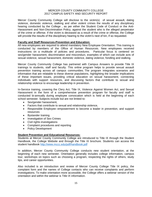Mercer County Community College will disclose to the victim(s) of sexual assault, dating violence, domestic violence, stalking and other violent crimes the results of any disciplinary hearing conducted by the College , as per either the Student Code of Conduct or the Anti-Harassment and Non-Discrimination Policy, against the student who is the alleged perpetrator of the crime or offense. If the victim is deceased as a result of the crime or offense, the College will provide the results of the disciplinary hearing to the victim's next of kin, if so requested.

## **Faculty and Staff Resources-Prevention and Education:**

All new employees are required to attend mandatory New Employee Orientation. This training is conducted by members of the Office of Human Resources. New employees received instructions on a multitude of policies and procedures. Particular focus is centered on sex/gender harassment, discrimination and misconduct, examples of which can include acts of sexual violence, sexual harassment, domestic violence, dating violence, fondling and stalking.

Mercer County Community College has partnered with Campus Answers to provide Title IX trainings to students, staff and faculty. This online program helps to provide sexual assault prevention training across all campus communities. The program integrates scenarios and information that are relatable to these diverse populations, highlighting the broader implications of these important issues, providing critical education on sexual harassment, connecting individuals with support resources, and discussing factors that contribute to sexual and relationship violence to encourage leadership in prevention.

In-Service training, covering the Clery Act, Title IX, Violence Against Women Act, and Sexual Harassment in the form of a comprehensive prevention program for faculty and staff is conducted bi-annually during employee convocation which is held at the beginning of each school semester. Subjects include but are not limited to:

- Sex/gender harassment,
- Factors that contribute to sexual and relationship violence,
- Responsible Employee--empowerment to become a leader in prevention, and support resources
- Bystander training
- Investigation of Sex Crimes
- Civil rights investigations
- Complaint procedures and reporting
- Policy Development

## **Student Prevention and Educational Resources:**

Students at Mercer County Community College are introduced to Title IX through the Student Handbook, the College Website and through the Title IX brochure. Students can access the student handbook<http://www.mccc.edu/pdf/handbook.pdf>

In addition, Mercer County Community College conducts new student orientation, at the beginning of each new semester. Orientation generally includes college information, campus tour, workshops on topics such as choosing a program, respecting the rights of others, study tips, and career opportunities.

Also included is an introduction and review of Mercer County College Title IX policy, the complaint form and the names of College contacts who can receive complaints and perform investigations. To make orientation more accessible, the College offers a webinar version of the orientation and within the webinar is Title IX information.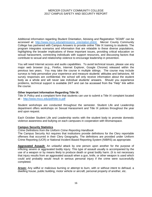Additional information regarding Student Orientation, Advising and Registration "SOAR" can be accessed at: [http://www.mccc.edu/admissions\\_orientation.shtml.](http://www.mccc.edu/admissions_orientation.shtml) Mercer County Community College has partnered with Campus Answers to provide online Title IX training to students. The program integrates scenarios and information that are relatable to these diverse populations, highlighting the broader implications of these important issues, providing critical education on sexual harassment, connecting individuals with support resources, and discussing factors that contribute to sexual and relationship violence to encourage leadership in prevention.

You will need Internet access and audio capabilities. To avoid technical issues, please use any major web browser (e.g., Firefox, Internet Explorer, Google Chrome) released within the previous two years. You may take the course in multiple sittings. The course may include surveys to help personalize your experience and measure students' attitudes and behaviors. All survey responses are confidential; the school will only receive information about the student body as a whole and will never see individual students' answers. Should you experience problems, technical support is available 24/7 and can be accessed from the "Help" link within the course.

## **Other Important Information Regarding Title IX:**

Title IX Policy and a complaint form that students can use to submit a Title IX complaint located at : <http://www.mccc.edu/pdf/title-ix.pdf>

Student workshops are conducted throughout the semester. Student Life and Leadership department offers workshops on Sexual Harassment and Title IX policies throughout the year and upon request.

Each October Student Life and Leadership works with the student body to promote domestic violence awareness and bullying on each campuses in cooperation with Womanspace.

## **Campus Security Statistics**

## *Crime Definitions from the Uniform Crime Reporting Handbook*

The Campus Security Act requires that institutions provide definitions for the Clery reportable offenses that occurred in their Clery Geography. The definitions are provided under Uniform Crime Reporting (UCR) or National Incident Based Reporting System (NIBRS) as appropriate.

**Aggravated Assault:** An unlawful attack by one person upon another for the purpose of inflicting severe or aggravated bodily injury. This type of assault usually is accompanied by the use of a weapon or by means likely to produce death or great bodily harm. (It is not necessary that injury results from an aggravated assault when a gun, knife, or other weapon is used which could and probably would result in serious personal injury if the crime were successfully completed.

**Arson:** Any willful or malicious burning or attempt to burn, with or without intent to defraud, a dwelling house, public building, motor vehicle or aircraft, personal property of another, etc.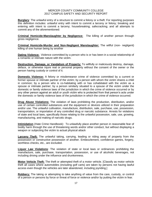**Burglary**: The unlawful entry of a structure to commit a felony or a theft. For reporting purposes this definition includes: unlawful entry with intent to commit a larceny or felony; breaking and entering with intent to commit a larceny; housebreaking; safecracking; and all attempts to commit any of the aforementioned:

**Criminal Homicide-Manslaughter by Negligence:** The killing of another person through gross negligence.

**Criminal Homicide-Murder and Non-Negligent Manslaughter:** The willful (non- negligent) killing of one human being by another

**Dating Violence:** Violence committed by a person who is or has been in a social relationship of a romantic or intimate nature with the victim.

**Destruction, Damage, or Vandalism of Property:** To willfully or maliciously destroy, damage, deface, or otherwise injure real or personal property without the consent of the owner or the person having custody or control of it.

**Domestic Violence:** A felony or misdemeanor crime of violence committed by a current or former spouse or intimate partner of the victim; by a person with whom the victim shares a child in common; by a person who is co-habitating with or has cohabitated with the victim as a spouse or intimate partner; by a person similarly situated to a spouse of the victim under the domestic or family violence laws of the jurisdiction in which the crime of violence occurred or by any other person against an adult or youth victim who is protected from that person's acts under the domestic or family violence laws of the jurisdiction in which the crime of violence occurred.

**Drug Abuse Violations:** The violation of laws prohibiting the production, distribution, and/or use of certain controlled substances and the equipment or devices utilized in their preparation and/or use. The unlawful cultivation, manufacture, distribution, sale, purchase, use, possession, transportation, or importation of any controlled drug or narcotic substance. Arrests for violations of state and local laws, specifically those relating to the unlawful possession, sale, use, growing, manufacturing, and making of narcotic drugs.

**Intimidation** (Hate Crime Handbook): To unlawfully place another person in reasonable fear of bodily harm through the use of threatening words and/or other conduct, but without displaying a weapon or subjecting the victim to actual physical attack

**Larceny Theft:** The unlawful taking, carrying, leading or riding away of property from the possession or constructive possession of another. Embezzlement, confidence games, forgery, worthless checks, etc., are excluded.

**Liquor Law Violations**: The violation of state or local laws or ordinances prohibiting the manufacture, sale, purchase, transportation, possession, or use of alcoholic beverages, not including driving under the influence and drunkenness.

**Motor Vehicle Theft:** The theft or attempted theft of a motor vehicle. [Classify as motor vehicle theft all cases where automobiles (including golf carts) are taken by persons not having lawful access even though the vehicles are later abandoned, including joyriding.]

**Robbery:** The taking or attempting to take anything of value from the care, custody, or control of a person or persons by force or threat of force or violence and/or by putting the victim in fear.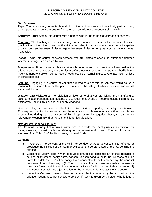## **Sex Offenses**

Rape: The penetration, no matter how slight, of the vagina or anus with any body part or object, or oral penetration by a sex organ of another person, without the consent of the victim.

**Statutory Rape:** Sexual intercourse with a person who is under the statutory age of consent.

**Fondling:** The touching of the private body parts of another person for the purpose of sexual gratification, without the consent of the victim, including instances where the victim is incapable of giving consent because of his/her age or because of his/ her temporary or permanent mental incapacity.

**Incest:** Sexual intercourse between persons who are related to each other within the degrees wherein marriage is prohibited by law

**Simple Assault:** An unlawful physical attack by one person upon another where neither the offender displays a weapon, nor the victim suffers obvious severe or aggravated bodily injury involving apparent broken bones, loss of teeth, possible internal injury, severe laceration, or loss of consciousness

**Stalking:** Engaging in a course of conduct directed at a specific person that would cause a reasonable person to fear for the person's safety or the safety of others, or suffer substantial emotional distress

**Weapon Law Violations:** The violation of laws or ordinances prohibiting the manufacture, sale, purchase, transportation, possession, concealment, or use of firearms, cutting instruments, explosives, incendiary devices, or deadly weapons.

When counting multiple offenses, the FBI's Uniform Crime Reporting Hierarchy Rule is used. This requires that institutions count only the most serious offense when more than one offense is committed during a single incident. While this applies to all categories above, it is particularly relevant for weapon law, drug abuse, and liquor law violations.

## **New Jersey Criminal Statues:**

The Campus Security Act requires institutions to provide the local jurisdiction definition for dating violence, domestic violence, stalking, sexual assault and consent. The definitions below are taken from Title 2C of the New Jersey Criminal Code.

## **Consent:**

- a. In General. The consent of the victim to conduct charged to constitute an offense or precludes the infliction of the harm or evil sought to be prevented by the law defining the offense
- b. Consent to Bodily Harm. When conduct is charged to constitute an offense because it causes or threatens bodily harm, consent to such conduct or to the inflictions of such harm Is a defense if: (1) The bodily harm consented to or threatened by the conduct consented to is not serious; or (2) The conduct and the harm are reasonable foreseeable hazards of joint participation in a concerted activity of a kind not forbidden by law; or (3) The consent establishes a justification for the conduct under chapter 3 of the code\*.
- c. Ineffective Consent. Unless otherwise provided by the code or by the law defining the offense, assent does not constitute consent if: (1) It Is given by a person who is legally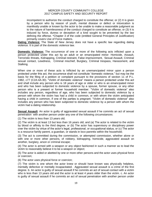incompetent to authorize the conduct charged to constitute the offense; or (2) It is given by a person who by reason of youth, mental disease or defect or intoxication is manifestly unable or known by the actor to be unable to make a reasonable judgment as to the nature of harmlessness of the conduct charged to constitute an offense; or (3) It is induced by force, duress or deception of a kind sought to be prevented by the law defining the offense. \*Chapter 3 of the code (entitled General Principles of Justification) primarily covers Use of Force matters.

**Dating Violence:** The State of New Jersey does not have a specific law regarding dating violence. It is part of the domestic violence law.

**Domestic Violence:** The occurrence of one or more of the following acts inflicted upon a person protected under this act by an adult or an emancipated minor: Homicide, Assault, Terroristic threats, Kidnapping, Criminal restraint, False imprisonment, Sexual Assault, Criminal sexual contact, Lewdness, Criminal mischief, Burglary, Criminal trespass, Harassment, and Stalking.

When one or more of these acts is Inflicted by an unemancipated minor upon a person protected under this act, the occurrence shall not constitute "domestic violence," but may be the basis for the filing of a petition or complaint pursuant to the provisions of section 11 of P.L. 1982, c77 (C2A:4A-30). "Victim of domestic violence" means a person protected under this act and shall include any person who is 18 years of age or older or who is an emancipated minor and who has been subjected to domestic violence by a spouse, former spouse, or any other person who is a present or former household member. "Victim of domestic violence" also includes any person, regardless of age, who has been subjected to domestic violence by a person with whom the victim has had a child in common, or with whom the victim anticipated having a child in common, if one of the parties is pregnant. "Victim of domestic violence" also includes any person who has been subjected to domestic violence by a person with whom the victim had a dating relationship.

**Sexual Assault**: An actor is guilty of aggravated sexual assault if he commits an act of sexual penetration with another person under any one of the following circumstances:

(1) The victim is less than 13 years old;

(2) The victim is at least 13 but less than 16 years old; and (a) The actor is related to the victim by blood or affinity to the third degree, or (b) The actor has supervisory or disciplinary power over the victim by virtue of the actor's legal, professional, or occupational status, or (c) The actor is a resource family parent, a guardian, or stands in loco parentis within the household;

(3) The act is committed during the commission, or attempted commission, whether alone or with one or more other persons, of robbery, kidnapping, homicide, aggravated assault on another, burglary, arson or criminal escape;

(4) The actor is armed with a weapon or any object fashioned in such a manner as to lead the victim to reasonably believe it to be a weapon or object;

(5) The actor is aided or abetted by one or more other persons and the actor uses physical force or coercion;

(6) The actor uses physical force or coercion;

(7) The victim is one whom the actor knew or should have known was physically helpless, mentally defective or mentally incapacitated. Aggravated sexual assault is a crime of the first degree. b. An actor is guilty of sexual assault if he commits an act of sexual contact with a victim who is less than 13 years old and the actor is at least 4 years older than the victim. c. An actor is guilty of sexual assault if he commits an act of sexual penetration with another person under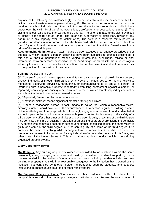any one of the following circumstances: (1) The actor uses physical force or coercion, but the victim does not sustain severe personal injury; (2) The victim is on probation or parole, or is detained in a hospital, prison or other institution and the actor has supervisory or disciplinary power over the victim by virtue of the actor's legal, professional or occupational status; (3) The victim Is at least 16 but less than 18 years old and: (a) The actor is related to the victim by blood or affinity to the third degree; or (b) The actor has supervisory or disciplinary power of any nature or in any capacity over the victim; or (c) The actor is a resource family parent, a guardian, or stands in loco parentis within the household; (4) The victim is at least 13 but less than 16 years old and the actor Is at least four years older than the victim. Sexual assault is a crime of the second degree.

**Accompanying definitions:** a. "Actor" means a person accused of an offense proscribed under this act; b. Victim" means a person alleging to have been subjected to offenses proscribed to this act; c. "Sexual penetration" means vaginal Intercourse, cunnilingus, fellatio or anal intercourse between persons or insertion of the hand, finger or object into the anus or vagina either by the actor or upon the actor's instruction. The depth of insertion shall not be relevant as to the question of commission of the crime.

## **Stalking:** As used in this act:

(1) "Course of conduct" means repeatedly maintaining a visual or physical proximity to a person; directly, indirectly, or through third parties, by any action, method, device, or means, following, monitoring, observing, surveilling, threatening, or communicating to or about, a person, or interfering with a person's property; repeatedly committing harassment against a person; or repeatedly conveying, or causing to be conveyed, verbal or written threats implied by conduct or a combination thereof directed at or toward a person

(2) "Repeatedly" means on two or more occasions.

(3) "Emotional distress" means significant mental suffering or distress.

(4) "Cause a reasonable person to fear" means to cause fear which a reasonable victim, similarly situated, would have under the circumstances. b. A person is guilty of stalking, a crime of the fourth degree, if he: purposefully or knowingly engages in a course of conduct directed at a specific person that would cause a reasonable person to fear for his safety or the safety of a third person or suffer other emotional distress. c. A person is guilty of a crime of the third degree if he commits the crime of stalking in violation of an existing court order prohibiting the behavior. d. A person who commits a second or subsequent offense of stalking against the same victim is guilty of a crime of the third degree. e. A person is guilty of a crime of the third degree if he commits the crime of stalking while serving a term of imprisonment or while on parole or probation as the result of a conviction for any indictable offense under the laws of this State, any other state of the United States. f. This act shall not apply to conduct which occurs during organized group picketing.

## **Clery Geography Terms**

**On Campus:** Any building or property owned or controlled by an institution within the same reasonably contiguous geographic area and used by the institution in direct support of, or in a manner related to, the institution's educational purposes, including residence halls; and any building or property that is within or reasonably contiguous to the institution that is owned by the institution but controlled by another person, is frequently used by students, and supports institutional purposes (such as a food or other retail vendor).

**On Campus Residence Halls:** "Dormitories or other residential facilities for students on campus" is a subset of the on-campus category. Institutions must disclose the total number of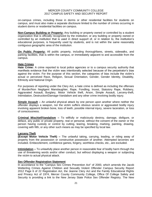on-campus crimes, including those in dorms or other residential facilities for students on campus, and must also make a separate disclosure limited to the number of crimes occurring in student dorms or residential facilities on campus.

**Non-Campus Building or Property:** Any building or property owned or controlled by a student organization that is officially recognized by the institution; or any building or property owned or controlled by an institution that is used in direct support of, or in relation to, the institution's educational purposes, is frequently used by students, and is not within the same reasonably contiguous geographic area of the institution.

**On Public Property:** All public property, including thoroughfares, streets, sidewalks, and parking facilities, that is within the campus, or immediately adjacent to and accessible from the campus.

## **Hate Crimes**

**Hate Crime:** A crime reported to local police agencies or to a campus security authority that manifests evidence that the victim was intentionally selected because of the perpetrator's bias against the victim. For the purpose of this section, the categories of bias include the victim's actual or perceived Race, Religion, Sexual Orientation, Gender, Gender Identity, Disability, Ethnicity and National Origin.

For purposes of reporting under the Clery Act, a hate crime is defined as including the offenses of Murder/Non Negligent Manslaughter, Rape, Fondling, Incest, Statutory Rape, Robbery, Aggravated Assault, Burglary, Motor Vehicle theft, Arson, Simple Assault, Larceny-theft, Intimidation, Destruction/Damage-Vandalism and any other crime involving bodily injury.

**Simple Assault –** An unlawful physical attack by one person upon another where neither the offender displays a weapon, nor the victim suffers obvious severe or aggravated bodily injury involving apparent broken bone, loss of teeth, possible internal injury, severe laceration, or loss of consciousness.

**Criminal Mischief/Vandalism –** To willfully or maliciously destroy, damage, disfigure, or deface, any public or private property, real or personal, without the consent of the owner or the person having custody or control by cutting, tearing, breaking, marking, painting, drawing, covering with filth, or any other such means as may be specified by local law.

## **Larceny Theft**

**(Except Motor Vehicle Theft) –** The unlawful taking, carrying, leading, or riding away of property from the possession or constructive possession of another. Attempted larcenies are included. Embezzlement, confidence games, forgery, worthless checks, etc., are excluded.

**Intimidation –** To unlawfully place another person in reasonable fear of bodily harm through the use of threatening words and/or other conduct, but without displaying a weapon or subjecting the victim to actual physical attack.

## **Sex Offender Registration Statement**

In accordance to the "Campus Sex Crimes Prevention Act" of 2000, which amends the Jacob Wetterling Crimes Against Children and Sexually Violent Offender Campus Security Report 2012 Page 6 of 22 Registration Act, the Jeanne Clery Act and the Family Educational Rights and Privacy Act of 1974, Mercer County Community College, Office Of College Safety and Security is providing a link to the New Jersey State Police Sex Offender Registry. The New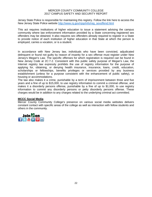Jersey State Police is responsible for maintaining this registry. Follow the link here to access the New Jersey State Police website [http://www.nj.gov/njsp/info/reg\\_sexoffend.html](http://www.nj.gov/njsp/info/reg_sexoffend.html)

This act requires institutions of higher education to issue a statement advising the campus community where law enforcement information provided by a State concerning registered sex offenders may be obtained. It also requires sex offenders already required to register in a State to provide notice of each institution of higher education in that State at which the person is employed, carries a vocation, or is a student.

In accordance with New Jersey law, individuals who have been convicted, adjudicated delinquent or found not guilty by reason of insanity for a sex offense must register under New Jersey's Megan's Law. The specific offenses for which registration is required can be found in New Jersey Code at 2C:7‐2. Consistent with this public safety purpose of Megan's Law, the Internet registry law expressly prohibits the use of registry information for the purpose of applying for, obtaining, or denying health insurance, insurance, loans, credit, education, scholarships or fellowships, benefits privileges or services provided by any business establishment (unless for a purpose consistent with the enhancement of public safety), or housing or accommodations.

The law also makes it a crime, punishable by a term of imprisonment between three and five years and a fine of up to \$15,000, to use registry information to commit a criminal offense, and makes it a disorderly persons offense, punishable by a fine of up to \$1,000, to use registry information to commit any disorderly persons or petty disorderly persons offense. These charges would be in addition to any charges related to the underlying criminal act committed.

#### **MCCC Social Media**

Mercer County Community College's presence on various social media websites delivers constant contact with specific areas of the college as well as interaction with fellow students and others in the community.

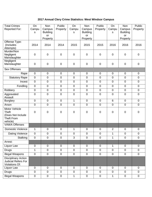# **2017 Annual Clery Crime Statistics: West Windsor Campus**

| <b>Total Crimes</b><br><b>Reported For:</b>                                         | On<br>Campu<br>S | <b>Non</b><br>Campus<br><b>Building</b><br>or<br>Property | Public<br>Property | On<br>Campu<br>s | <b>Non</b><br>Campus<br><b>Building</b><br><b>or</b><br>Property | Public<br>Property | On<br>Campu<br>S | <b>Non</b><br>Campus<br><b>Building</b><br>or<br>Property | Public<br>Property |
|-------------------------------------------------------------------------------------|------------------|-----------------------------------------------------------|--------------------|------------------|------------------------------------------------------------------|--------------------|------------------|-----------------------------------------------------------|--------------------|
| Offense Type:<br>(Includes)<br>Attempts)                                            | 2014             | 2014                                                      | 2014               | 2015             | 2015                                                             | 2015               | 2016             | 2016                                                      | 2016               |
| Murder/Non<br>Negligent<br>Manslaughter                                             | $\mathbf 0$      | $\boldsymbol{0}$                                          | $\mathbf 0$        | 0                | $\mathbf 0$                                                      | $\mathbf 0$        | $\boldsymbol{0}$ | $\mathbf 0$                                               | $\mathbf 0$        |
| Negligent<br>Manslaughter                                                           | $\overline{0}$   | $\mathbf 0$                                               | $\boldsymbol{0}$   | 0                | $\mathbf 0$                                                      | $\mathbf 0$        | $\mathbf 0$      | $\mathbf 0$                                               | $\mathbf 0$        |
| <b>Sex Offenses</b>                                                                 |                  |                                                           |                    |                  |                                                                  |                    |                  |                                                           |                    |
| Rape                                                                                | $\mathbf 0$      | $\mathbf 0$                                               | $\mathbf 0$        | $\pmb{0}$        | $\mathbf 0$                                                      | $\mathbf 0$        | $\mathbf 0$      | $\pmb{0}$                                                 | $\pmb{0}$          |
| <b>Statutory Rape</b>                                                               | $\mathbf 0$      | $\mathbf 0$                                               | $\boldsymbol{0}$   | $\mathbf 0$      | $\mathbf 0$                                                      | $\overline{0}$     | $\mathbf 0$      | $\mathbf 0$                                               | $\mathbf 0$        |
| Incest                                                                              | $\mathbf 0$      | $\overline{0}$                                            | $\mathbf 0$        | $\mathbf 0$      | $\overline{0}$                                                   | $\overline{0}$     | $\mathbf 0$      | $\mathbf 0$                                               | $\mathbf 0$        |
| Fondling                                                                            | $\mathbf 0$      | $\overline{0}$                                            | $\boldsymbol{0}$   | $\mathbf 0$      | $\overline{0}$                                                   | $\overline{0}$     | $\mathbf 0$      | $\mathbf 0$                                               | $\mathbf 0$        |
| Robbery                                                                             | $\mathbf 0$      | $\overline{0}$                                            | $\mathbf 0$        | $\overline{0}$   | $\overline{0}$                                                   | $\overline{0}$     | $\mathbf 0$      | $\mathbf 0$                                               | $\mathbf 0$        |
| Aggravated<br>Assault                                                               | $\mathbf 0$      | $\overline{0}$                                            | $\mathbf 0$        | $\mathbf 0$      | $\overline{0}$                                                   | $\mathbf 0$        | $\mathbf 0$      | $\mathbf 0$                                               | $\mathbf 0$        |
| <b>Burglary</b>                                                                     | $\mathbf 0$      | $\overline{0}$                                            | $\mathbf 0$        | $\mathbf{1}$     | $\mathbf 0$                                                      | $\overline{0}$     | 6                | $\mathbf 0$                                               | $\mathbf 0$        |
| Arson                                                                               | $\mathbf 0$      | $\mathbf 0$                                               | $\mathbf 0$        | $\mathbf 0$      | $\overline{0}$                                                   | $\overline{0}$     | $\mathbf 0$      | $\mathbf 0$                                               | $\mathbf 0$        |
| Motor Vehicle<br><b>Theft</b><br>(Does Not Include<br><b>Theft From</b><br>vehicle) | $\overline{0}$   | $\mathbf 0$                                               | $\mathbf 0$        | 0                | $\pmb{0}$                                                        | $\mathbf 0$        | $\pmb{0}$        | $\boldsymbol{0}$                                          | $\mathbf 0$        |
| <b>VAWA Offenses</b>                                                                |                  |                                                           |                    |                  |                                                                  |                    |                  |                                                           |                    |
| Domestic Violence                                                                   | $\mathbf{1}$     | $\mathbf 0$                                               | $\mathbf 0$        | 1                | $\pmb{0}$                                                        | $\mathbf 0$        | $\overline{2}$   | $\mathbf 0$                                               | $\mathbf 0$        |
| <b>Dating Violence</b>                                                              | $\mathbf 0$      | $\mathbf 0$                                               | $\mathbf 0$        | $\overline{0}$   | $\mathbf 0$                                                      | $\mathbf 0$        | 1                | $\mathbf 0$                                               | $\mathbf 0$        |
| Stalking                                                                            | $\overline{0}$   | $\mathbf 0$                                               | $\mathbf 0$        | 3                | $\mathbf 0$                                                      | $\mathbf 0$        | 1                | $\mathbf 0$                                               | $\mathbf 0$        |
| Arrest:                                                                             |                  |                                                           |                    |                  |                                                                  |                    |                  |                                                           |                    |
| Liquor Law                                                                          | $\overline{0}$   | $\mathbf 0$                                               | $\mathbf 0$        | $\mathbf 0$      | $\overline{0}$                                                   | $\overline{0}$     | 1                | $\overline{0}$                                            | $\overline{0}$     |
| <b>Drugs</b>                                                                        | $\mathbf{1}$     | $\overline{0}$                                            | $\mathbf 0$        | $\overline{0}$   | $\overline{0}$                                                   | $\overline{0}$     | $\mathbf 0$      | $\overline{0}$                                            | $\overline{0}$     |
| <b>Illegal Weapons</b>                                                              | $\mathbf 0$      | $\mathbf 0$                                               | $\mathbf 0$        | $\mathbf 0$      | $\mathbf 0$                                                      | $\overline{0}$     | $\mathbf 0$      | $\overline{0}$                                            | $\overline{0}$     |
| <b>Disciplinary Action</b><br><b>Judicial Refers For</b><br>Violations Of:          |                  |                                                           |                    |                  |                                                                  |                    |                  |                                                           |                    |
| Liquor Law                                                                          | $\mathbf 0$      | $\overline{0}$                                            | $\overline{0}$     | $\mathbf 0$      | $\overline{0}$                                                   | $\mathbf 0$        | $\mathbf 0$      | $\overline{0}$                                            | $\overline{0}$     |
| <b>Drugs</b>                                                                        | $\pmb{0}$        | $\mathbf 0$                                               | $\pmb{0}$          | $\boldsymbol{0}$ | $\mathbf 0$                                                      | $\mathbf 0$        | $\mathbf 0$      | $\mathbf 0$                                               | $\overline{0}$     |
| <b>Illegal Weapons</b>                                                              | $\boldsymbol{0}$ | $\pmb{0}$                                                 | $\mathbf 0$        | 1                | $\mathbf 0$                                                      | $\mathbf 0$        | $\mathbf 1$      | $\pmb{0}$                                                 | $\overline{0}$     |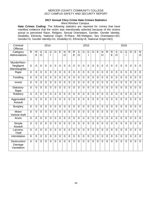## **2017 Annual Clery Crime Hate Crimes Statistics**

West Windsor Campus

**Hate Crimes Coding:** The following statistics are reported for crimes that have manifest evidence that the victim was intentionally selected because of the victims actual or perceived Race, Religion, Sexual Orientation, Gender, Gender Identity, Disability, Ethnicity, National Origin. R=Race, RE=Religion, Sex Orientation=SO, Gender=G, Gender Identify=GI, Disability=D, Ethnicity=E, National Origin=NO)

| Criminal<br>Offense                      | 2014           |                |                |                |                |                |                |                | 2015           |                   |                |                |                |                |                |                |                | 2016              |                     |                |                |                |                |                |  |  |
|------------------------------------------|----------------|----------------|----------------|----------------|----------------|----------------|----------------|----------------|----------------|-------------------|----------------|----------------|----------------|----------------|----------------|----------------|----------------|-------------------|---------------------|----------------|----------------|----------------|----------------|----------------|--|--|
| Category<br>Abbreviations                | $\mathsf{R}$   | R<br>E         | S<br>$\circ$   | G              | G<br>ı         | D              | E              | N<br>O         | $\mathsf{R}$   | $\mathsf{R}$<br>E | S<br>O         | G              | G<br>T         | D              | E              | N<br>O         | $\mathsf{R}$   | $\mathsf{R}$<br>E | S<br>$\overline{O}$ | G              | G<br>ı         | D              | E              | N<br>$\circ$   |  |  |
| Murder/Non-<br>Negligent<br>Manslaughter | $\overline{0}$ | 0              | $\overline{0}$ | $\mathbf 0$    | 0              | $\overline{0}$ | $\overline{0}$ | $\overline{0}$ | 0              | $\overline{0}$    | $\overline{0}$ | 0              | $\overline{0}$ | 0              | $\overline{0}$ | $\overline{0}$ | $\mathbf 0$    | $\overline{0}$    | $\overline{0}$      | 0              | 0              | 0              | 0              | $\mathbf 0$    |  |  |
| Rape                                     | $\Omega$       | $\Omega$       | $\mathbf 0$    | $\Omega$       | $\Omega$       | $\overline{0}$ | $\Omega$       | $\Omega$       | 0              | $\Omega$          | $\overline{0}$ | $\overline{0}$ | $\Omega$       | $\overline{0}$ | $\overline{0}$ | $\overline{0}$ | $\overline{0}$ | $\Omega$          | $\overline{0}$      | $\overline{0}$ | $\Omega$       | $\overline{0}$ | $\Omega$       | $\overline{0}$ |  |  |
| Fondling                                 | $\overline{0}$ | $\overline{0}$ | 0              | $\overline{0}$ | $\overline{0}$ | 0              | $\overline{0}$ | 0              | $\overline{0}$ | $\overline{0}$    | $\overline{0}$ | $\overline{0}$ | $\overline{0}$ | $\overline{0}$ | $\overline{0}$ | 0              | $\overline{0}$ | $\overline{0}$    | $\overline{0}$      | $\overline{0}$ | $\overline{0}$ | $\overline{0}$ | $\overline{0}$ | $\overline{0}$ |  |  |
| Incest                                   | $\overline{0}$ | $\overline{0}$ | $\overline{0}$ | $\overline{0}$ | $\overline{0}$ | $\overline{0}$ | $\overline{0}$ | 0              | $\overline{0}$ | $\overline{0}$    | $\overline{0}$ | $\overline{0}$ | $\overline{0}$ | 0              | $\overline{0}$ | $\overline{0}$ | $\overline{0}$ | $\overline{0}$    | $\overline{0}$      | $\overline{0}$ | $\overline{0}$ | $\overline{0}$ | $\overline{0}$ | $\overline{0}$ |  |  |
| Statutory-<br>Rape                       | $\overline{0}$ | $\overline{0}$ | $\overline{0}$ | $\overline{0}$ | $\overline{0}$ | $\overline{0}$ | $\overline{0}$ | 0              | $\overline{0}$ | $\overline{0}$    | $\overline{0}$ | $\overline{0}$ | $\overline{0}$ | $\overline{0}$ | $\overline{0}$ | 0              | $\overline{0}$ | $\overline{0}$    | $\overline{0}$      | $\overline{0}$ | $\overline{0}$ | $\overline{0}$ | $\overline{0}$ | $\overline{0}$ |  |  |
| Robbery                                  | $\Omega$       | $\overline{0}$ | $\overline{0}$ | $\overline{0}$ | $\overline{0}$ | $\overline{0}$ | $\overline{0}$ | 0              | $\overline{0}$ | $\overline{0}$    | $\overline{0}$ | $\overline{0}$ | $\Omega$       | $\overline{0}$ | $\overline{0}$ | $\overline{0}$ | $\overline{0}$ | $\Omega$          | $\overline{0}$      | $\overline{0}$ | $\overline{0}$ | $\overline{0}$ | $\overline{0}$ | $\overline{0}$ |  |  |
| Aggravated<br>Assault                    | $\overline{0}$ | $\overline{0}$ | $\overline{0}$ | $\overline{0}$ | $\overline{0}$ | $\overline{0}$ | $\overline{0}$ | $\overline{0}$ | $\overline{0}$ | $\overline{0}$    | $\overline{0}$ | $\overline{0}$ | $\overline{0}$ | $\overline{0}$ | $\overline{0}$ | $\overline{0}$ | $\overline{0}$ | $\overline{0}$    | $\overline{0}$      | $\overline{0}$ | $\overline{0}$ | $\overline{0}$ | $\overline{0}$ | $\overline{0}$ |  |  |
| <b>Burglary</b>                          | $\overline{0}$ | $\overline{0}$ | $\overline{0}$ | $\overline{0}$ | $\overline{0}$ | $\mathbf 0$    | $\overline{0}$ | $\overline{0}$ | $\overline{0}$ | $\overline{0}$    | $\overline{0}$ | $\overline{0}$ | $\overline{0}$ | $\overline{0}$ | $\overline{0}$ | $\overline{0}$ | $\overline{0}$ | $\overline{0}$    | $\overline{0}$      | $\overline{0}$ | $\overline{0}$ | $\overline{0}$ | $\overline{0}$ | $\mathbf 0$    |  |  |
| Motor<br>Vehicle theft                   | $\Omega$       | $\Omega$       | $\mathbf 0$    | $\overline{0}$ | $\overline{0}$ | $\mathbf 0$    | $\overline{0}$ | $\overline{0}$ | $\mathbf 0$    | $\overline{0}$    | $\overline{0}$ | $\overline{0}$ | $\overline{0}$ | $\overline{0}$ | $\overline{0}$ | $\overline{0}$ | $\overline{0}$ | $\overline{0}$    | $\overline{0}$      | $\overline{0}$ | $\overline{0}$ | $\overline{0}$ | $\overline{0}$ | $\mathbf 0$    |  |  |
| Arson                                    | $\Omega$       | $\Omega$       | $\Omega$       | $\Omega$       | $\overline{0}$ | $\overline{0}$ | $\Omega$       | $\overline{0}$ | $\overline{0}$ | $\overline{0}$    | $\overline{0}$ | $\overline{0}$ | $\Omega$       | $\overline{0}$ | $\Omega$       | $\Omega$       | $\overline{0}$ | $\Omega$          | $\overline{0}$      | $\Omega$       | $\Omega$       | $\overline{0}$ | $\Omega$       | $\overline{0}$ |  |  |
| Simple<br>Assault                        | $\overline{0}$ | $\overline{0}$ | $\overline{0}$ | $\overline{0}$ | $\overline{0}$ | $\overline{0}$ | $\overline{0}$ | $\overline{0}$ | $\overline{0}$ | $\overline{0}$    | $\overline{0}$ | $\overline{0}$ | $\Omega$       | $\overline{0}$ | $\overline{0}$ | $\overline{0}$ | $\overline{0}$ | $\Omega$          | $\overline{0}$      | $\overline{0}$ | $\overline{0}$ | $\overline{0}$ | $\overline{0}$ | $\mathbf 0$    |  |  |
| Larceny-<br><b>Theft</b>                 | $\Omega$       | $\overline{0}$ | $\overline{0}$ | $\mathbf 0$    | $\overline{0}$ | $\overline{0}$ | $\overline{0}$ | 0              | $\overline{0}$ | $\overline{0}$    | $\overline{0}$ | $\overline{0}$ | $\Omega$       | $\overline{0}$ | $\overline{0}$ | $\overline{0}$ | $\overline{0}$ | $\Omega$          | $\overline{0}$      | $\mathbf 0$    | $\overline{0}$ | $\overline{0}$ | $\overline{0}$ | $\overline{0}$ |  |  |
| Intimidation                             | $\overline{0}$ | $\overline{0}$ | $\overline{0}$ | $\overline{0}$ | $\overline{0}$ | $\overline{0}$ | $\overline{0}$ | 0              | 0              | $\overline{0}$    | $\overline{0}$ | 0              | $\overline{0}$ | $\overline{0}$ | $\overline{0}$ | $\overline{0}$ | $\overline{0}$ | $\overline{0}$    | $\overline{0}$      | $\overline{0}$ | $\overline{0}$ | $\mathbf 0$    | $\overline{0}$ | $\mathbf 0$    |  |  |
| Destruction/<br>Damage<br>Vandalism      | $\Omega$       | $\overline{0}$ | $\overline{0}$ | $\overline{0}$ | $\overline{0}$ | $\overline{0}$ | $\overline{0}$ | 0              | $\overline{0}$ | $\overline{0}$    | $\overline{0}$ | $\overline{0}$ | $\overline{0}$ | $\overline{0}$ | $\overline{0}$ | $\overline{0}$ | $\overline{0}$ | $\overline{0}$    | $\overline{0}$      | $\mathbf 0$    | 0              | 0              | $\overline{0}$ | $\mathbf 0$    |  |  |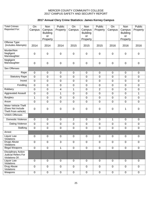# **2017 Annual Clery Crime Statistics: James Kerney Campus**

| <b>Total Crimes</b><br>Reported For:                                | On<br>Campus     | <b>Non</b><br>Campus<br><b>Building</b><br>or<br>Property | Public<br>Property | On<br>Campus     | <b>Non</b><br>Campus<br><b>Building</b><br>or<br>Property | Public<br>Property | On<br>Campus   | <b>Non</b><br>Campus<br><b>Building</b><br>or<br>Property | Public<br>Property |
|---------------------------------------------------------------------|------------------|-----------------------------------------------------------|--------------------|------------------|-----------------------------------------------------------|--------------------|----------------|-----------------------------------------------------------|--------------------|
| Offense Type:<br>(Includes Attempts)                                | 2014             | 2014                                                      | 2014               | 2015             | 2015                                                      | 2015               | 2016           | 2016                                                      | 2016               |
| Murder/Non<br>Negligent<br>Manslaughter                             | $\mathbf 0$      | $\mathbf 0$                                               | $\mathbf 0$        | $\mathbf 0$      | $\pmb{0}$                                                 | $\mathbf 0$        | $\overline{0}$ | $\mathbf 0$                                               | $\pmb{0}$          |
| Negligent<br>Manslaughter                                           | $\mathbf 0$      | $\mathbf 0$                                               | $\mathbf 0$        | $\pmb{0}$        | $\mathbf 0$                                               | $\mathbf 0$        | $\overline{0}$ | $\mathbf 0$                                               | $\pmb{0}$          |
| <b>Sex Offenses</b>                                                 |                  |                                                           |                    |                  |                                                           |                    |                |                                                           |                    |
| Rape                                                                | $\mathbf 0$      | $\mathbf 0$                                               | $\mathbf 0$        | $\mathbf 0$      | $\mathbf 0$                                               | $\mathbf 0$        | $\overline{0}$ | $\mathbf 0$                                               | $\pmb{0}$          |
| <b>Statutory Rape</b>                                               | $\mathbf 0$      | 0                                                         | $\boldsymbol{0}$   | $\overline{0}$   | $\mathbf 0$                                               | $\mathbf 0$        | $\mathbf 0$    | $\mathbf 0$                                               | $\mathbf 0$        |
| Incest                                                              | $\mathbf 0$      | $\overline{0}$                                            | $\mathbf 0$        | $\overline{0}$   | $\mathbf 0$                                               | $\mathbf 0$        | $\overline{0}$ | $\mathbf 0$                                               | $\mathbf 0$        |
| Fondling                                                            | $\overline{0}$   | 0                                                         | 0                  | $\mathbf 0$      | $\mathbf 0$                                               | $\mathbf 0$        | $\overline{0}$ | $\overline{0}$                                            | $\mathbf 0$        |
| Robbery                                                             | $\mathbf 0$      | 0                                                         | $\overline{4}$     | $\mathbf{1}$     | $\mathbf 0$                                               | $\overline{2}$     | $\overline{0}$ | $\mathbf 0$                                               | $\mathbf 0$        |
| <b>Aggravated Assault</b>                                           | $\mathbf 0$      | 0                                                         | 1                  | $\mathbf 0$      | $\mathbf 0$                                               | $\mathbf 0$        | $\mathbf 0$    | $\mathbf 0$                                               | $\mathbf{1}$       |
| <b>Burglary</b>                                                     | $\mathbf 1$      | 0                                                         | $\mathbf 0$        | $\overline{0}$   | $\mathbf 0$                                               | $\mathbf 0$        | $\mathbf 0$    | $\mathbf 0$                                               | $\mathbf 0$        |
| Arson                                                               | $\mathbf 0$      | 0                                                         | $\mathbf 0$        | $\mathbf 0$      | $\mathbf 0$                                               | $\mathbf 0$        | $\mathbf 0$    | $\overline{0}$                                            | $\mathbf 0$        |
| Motor Vehicle Theft<br>(Does Not Include<br>Theft From vehicle)     | $\mathbf 0$      | $\mathbf 0$                                               | 0                  | $\mathbf 0$      | $\overline{0}$                                            | 0                  | $\mathbf 0$    | 1                                                         | $\mathbf 0$        |
| <b>VAWA Offenses</b>                                                |                  |                                                           |                    |                  |                                                           |                    |                |                                                           |                    |
| Domestic Violence                                                   | $\mathbf 0$      | $\mathbf 0$                                               | $\boldsymbol{0}$   | $\overline{2}$   | $\overline{0}$                                            | $\mathbf 0$        | 1              | $\mathbf 0$                                               | $\mathbf 0$        |
| Dating Violence                                                     | $\mathbf 0$      | $\mathbf 0$                                               | $\mathbf 0$        | $\overline{0}$   | $\mathbf 0$                                               | $\mathbf 0$        | $\overline{0}$ | $\mathbf 0$                                               | $\mathbf 0$        |
| Stalking                                                            | $\boldsymbol{0}$ | $\pmb{0}$                                                 | $\boldsymbol{0}$   | $\pmb{0}$        | $\pmb{0}$                                                 | $\pmb{0}$          | $\pmb{0}$      | $\mathbf 0$                                               | $\pmb{0}$          |
| Arrest:                                                             |                  |                                                           |                    |                  |                                                           |                    |                |                                                           |                    |
| Liquor Law<br>Violations                                            | $\boldsymbol{0}$ | $\mathbf 0$                                               | $\pmb{0}$          | 0                | $\pmb{0}$                                                 | $\pmb{0}$          | $\pmb{0}$      | $\pmb{0}$                                                 | $\pmb{0}$          |
| <b>Drugs Abuse</b><br>Violations                                    | $\pmb{0}$        | $\overline{0}$                                            | $\overline{3}$     | $\boldsymbol{0}$ | $\mathbf 0$                                               | $\mathbf 0$        | $\mathbf 0$    | $\mathbf 0$                                               | $\mathbf 0$        |
| <b>Illegal Weapons</b>                                              | $\pmb{0}$        | $\mathbf 0$                                               | $\mathbf 1$        | $\overline{0}$   | $\overline{0}$                                            | $\pmb{0}$          | $\mathbf 0$    | $\mathbf 0$                                               | $\pmb{0}$          |
| <b>Disciplinary Action</b><br>Judicial Refers For<br>Violations Of: |                  |                                                           |                    |                  |                                                           |                    |                |                                                           |                    |
| Liquor Law<br>Violations                                            | $\mathbf 0$      | $\mathbf 0$                                               | $\mathbf 0$        | $\mathbf 0$      | $\mathbf 0$                                               | $\mathbf 0$        | $\mathbf 0$    | $\mathbf 0$                                               | $\pmb{0}$          |
| Drug Abuse<br>Violations                                            | $\boldsymbol{0}$ | $\mathsf 0$                                               | $\boldsymbol{0}$   | $\mathbf 0$      | $\mathbf 0$                                               | $\pmb{0}$          | $\mathbf 0$    | $\mathbf 0$                                               | $\mathbf 0$        |
| Weapons                                                             | $\overline{0}$   | $\pmb{0}$                                                 | $\pmb{0}$          | $\pmb{0}$        | $\mathbf 0$                                               | $\pmb{0}$          | $\pmb{0}$      | $\pmb{0}$                                                 | $\pmb{0}$          |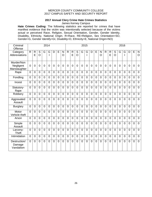## **2017 Annual Clery Crime Hate Crimes Statistics**

James Kerney Campus

**Hate Crimes Coding:** The following statistics are reported for crimes that have manifest evidence that the victim was intentionally selected because of the victims actual or perceived Race, Religion, Sexual Orientation, Gender, Gender Identity, Disability, Ethnicity, National Origin. R=Race, RE=Religion, Sex Orientation=SO, Gender=G, Gender Identify=GI, Disability=D, Ethnicity=E, National Origin=NO)

| Criminal<br>Offense                     | 2014           |                   |                                  |                |                |                |                | 2015                |                |                   |                |                |                |                |                |                                | 2016           |                   |                     |                |                |                |                |                             |  |
|-----------------------------------------|----------------|-------------------|----------------------------------|----------------|----------------|----------------|----------------|---------------------|----------------|-------------------|----------------|----------------|----------------|----------------|----------------|--------------------------------|----------------|-------------------|---------------------|----------------|----------------|----------------|----------------|-----------------------------|--|
| Category<br>Abbreviations               | $\mathsf{R}$   | $\mathsf{R}$<br>E | $\overline{S}$<br>$\overline{O}$ | G              | G<br>I         | D              | E              | N<br>$\overline{O}$ | $\mathsf{R}$   | $\mathsf{R}$<br>E | S<br>$\circ$   | G              | G              | D              | E              | $\mathsf{N}$<br>$\overline{O}$ | $\mathsf{R}$   | $\mathsf{R}$<br>E | S<br>$\overline{O}$ | G              | G<br>I         | D              | E              | ${\sf N}$<br>$\overline{O}$ |  |
| Murder/Non<br>Negligent<br>Manslaughter | $\Omega$       | $\mathbf 0$       | $\overline{0}$                   | $\overline{0}$ | $\overline{0}$ | 0              | $\overline{0}$ | $\overline{0}$      | $\overline{0}$ | $\overline{0}$    | $\overline{0}$ | $\overline{0}$ | $\overline{0}$ | $\overline{0}$ | $\overline{0}$ | $\overline{0}$                 | $\overline{0}$ | $\overline{0}$    | $\overline{0}$      | $\overline{0}$ | $\overline{0}$ | 0              | $\overline{0}$ | $\mathbf 0$                 |  |
| Rape                                    | $\Omega$       | $\mathbf 0$       | $\mathbf 0$                      | $\overline{0}$ | $\overline{0}$ | $\overline{0}$ | $\overline{0}$ | $\overline{0}$      | $\overline{0}$ | $\mathbf 0$       | $\overline{0}$ | $\mathbf 0$    | $\overline{0}$ | $\overline{0}$ | $\overline{0}$ | $\mathbf 0$                    | $\overline{0}$ | $\overline{0}$    | 0                   | $\overline{0}$ | $\overline{0}$ | $\overline{0}$ | $\overline{0}$ | $\mathbf 0$                 |  |
| Fondling                                | $\overline{0}$ | $\overline{0}$    | $\overline{0}$                   | $\Omega$       | $\overline{0}$ | $\overline{0}$ | $\overline{0}$ | $\overline{0}$      | $\overline{0}$ | $\overline{0}$    | $\mathbf 0$    | $\overline{0}$ | $\overline{0}$ | $\overline{0}$ | $\overline{0}$ | $\overline{0}$                 | $\overline{0}$ | $\overline{0}$    | $\overline{0}$      | $\overline{0}$ | $\overline{0}$ | $\overline{0}$ | $\overline{0}$ | $\mathbf 0$                 |  |
| Incest                                  | $\Omega$       | $\overline{0}$    | $\overline{0}$                   | $\overline{0}$ | $\overline{0}$ | $\overline{0}$ | $\Omega$       | $\overline{0}$      | $\overline{0}$ | $\overline{0}$    | $\overline{0}$ | $\overline{0}$ | $\overline{0}$ | $\overline{0}$ | $\overline{0}$ | $\overline{0}$                 | $\Omega$       | 0                 | $\overline{0}$      | $\overline{0}$ | $\Omega$       | $\overline{0}$ | $\overline{0}$ | $\overline{0}$              |  |
| Statutory-<br>Rape                      | $\overline{0}$ | $\overline{0}$    | $\overline{0}$                   | $\overline{0}$ | $\overline{0}$ | $\overline{0}$ | $\overline{0}$ | $\overline{0}$      | $\overline{0}$ | $\overline{0}$    | $\overline{0}$ | $\overline{0}$ | $\overline{0}$ | $\overline{0}$ | $\overline{0}$ | $\overline{0}$                 | $\overline{0}$ | $\overline{0}$    | $\overline{0}$      | $\overline{0}$ | $\overline{0}$ | $\overline{0}$ | 0              | $\overline{0}$              |  |
| Robbery                                 | $\Omega$       | $\overline{0}$    | $\overline{0}$                   | $\overline{0}$ | $\overline{0}$ | $\overline{0}$ | $\overline{0}$ | $\overline{0}$      | $\overline{0}$ | 0                 | $\overline{0}$ | $\overline{0}$ | $\overline{0}$ | $\overline{0}$ | $\overline{0}$ | $\overline{0}$                 | $\overline{0}$ | $\overline{0}$    | 0                   | $\overline{0}$ | $\overline{0}$ | $\overline{0}$ | $\overline{0}$ | $\overline{0}$              |  |
| Aggravated<br>Assault                   | $\Omega$       | $\overline{0}$    | $\overline{0}$                   | $\overline{0}$ | $\overline{0}$ | $\overline{0}$ | $\overline{0}$ | $\overline{0}$      | $\overline{0}$ | $\overline{0}$    | $\overline{0}$ | 0              | $\overline{0}$ | $\overline{0}$ | $\overline{0}$ | $\overline{0}$                 | $\overline{0}$ | $\overline{0}$    | $\overline{0}$      | $\overline{0}$ | $\overline{0}$ | $\overline{0}$ | 0              | $\overline{0}$              |  |
| <b>Burglary</b>                         | $\overline{0}$ | $\overline{0}$    | $\overline{0}$                   | $\overline{0}$ | $\overline{0}$ | $\overline{0}$ | $\overline{0}$ | $\overline{0}$      | $\overline{0}$ | $\overline{0}$    | $\mathbf 0$    | $\overline{0}$ | $\overline{0}$ | $\overline{0}$ | $\overline{0}$ | $\overline{0}$                 | $\overline{0}$ | $\overline{0}$    | $\overline{0}$      | $\mathbf 0$    | $\overline{0}$ | $\overline{0}$ | $\overline{0}$ | $\overline{0}$              |  |
| Motor<br>Vehicle theft                  | $\Omega$       | $\overline{0}$    | $\overline{0}$                   | $\overline{0}$ | $\overline{0}$ | $\overline{0}$ | $\overline{0}$ | $\overline{0}$      | $\overline{0}$ | $\overline{0}$    | $\mathbf 0$    | $\overline{0}$ | $\overline{0}$ | $\overline{0}$ | $\overline{0}$ | $\overline{0}$                 | $\overline{0}$ | 0                 | 0                   | $\overline{0}$ | $\overline{0}$ | $\overline{0}$ | $\overline{0}$ | $\mathbf 0$                 |  |
| Arson                                   | $\Omega$       | $\overline{0}$    | $\overline{0}$                   | $\Omega$       | $\overline{0}$ | $\Omega$       | $\Omega$       | $\overline{0}$      | $\overline{0}$ | $\overline{0}$    | $\overline{0}$ | $\Omega$       | $\Omega$       | $\overline{0}$ | $\overline{0}$ | $\overline{0}$                 | $\Omega$       | $\overline{0}$    | $\overline{0}$      | $\mathbf 0$    | $\overline{0}$ | $\overline{0}$ | $\overline{0}$ | $\overline{0}$              |  |
| Simple<br>Assault                       | $\Omega$       | $\overline{0}$    | $\overline{0}$                   | $\overline{0}$ | $\overline{0}$ | $\overline{0}$ | $\overline{0}$ | $\overline{0}$      | $\Omega$       | $\overline{0}$    | $\overline{0}$ | $\overline{0}$ | $\overline{0}$ | $\overline{0}$ | $\overline{0}$ | 0                              | $\overline{0}$ | $\overline{0}$    | $\overline{0}$      | $\overline{0}$ | $\Omega$       | $\overline{0}$ | $\overline{0}$ | $\mathbf 0$                 |  |
| Larceny-<br><b>Theft</b>                | $\Omega$       | $\overline{0}$    | $\overline{0}$                   | $\overline{0}$ | $\overline{0}$ | $\overline{0}$ | $\overline{0}$ | $\overline{0}$      | $\overline{0}$ | $\overline{0}$    | $\overline{0}$ | $\overline{0}$ | $\overline{0}$ | $\mathbf 0$    | $\overline{0}$ | $\overline{0}$                 | $\overline{0}$ | $\overline{0}$    | $\overline{0}$      | $\overline{0}$ | $\overline{0}$ | $\overline{0}$ | $\overline{0}$ | $\mathbf 0$                 |  |
| Intimidation                            | $\Omega$       | $\overline{0}$    | $\overline{0}$                   | $\overline{0}$ | $\Omega$       | $\overline{0}$ | $\Omega$       | $\overline{0}$      | $\overline{0}$ | $\overline{0}$    | $\overline{0}$ | $\overline{0}$ | $\Omega$       | $\overline{0}$ | $\overline{0}$ | $\overline{0}$                 | $\Omega$       | 0                 | 0                   | 0              | $\overline{0}$ | $\overline{0}$ | $\overline{0}$ | $\overline{0}$              |  |
| Destruction/<br>Damage<br>Vandalism     | $\Omega$       | $\overline{0}$    | $\overline{0}$                   | 0              | $\overline{0}$ | $\overline{0}$ | $\overline{0}$ | $\overline{0}$      | $\overline{0}$ | 0                 | $\overline{0}$ | 0              | $\overline{0}$ | $\overline{0}$ | $\overline{0}$ | $\overline{0}$                 | $\overline{0}$ | $\overline{0}$    | 0                   | $\overline{0}$ | $\overline{0}$ | 0              | $\overline{0}$ | $\overline{0}$              |  |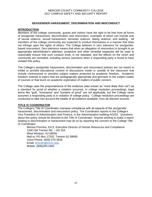## **SEX/GENDER HARASSMENT, DISCRIMINATION AND MISCONDUCT**

## **INTRODUCTION**

Members of the college community, guests and visitors have the right to be free from all forms of sex/gender harassment, discrimination and misconduct, examples of which can include acts of sexual violence, sexual harassment, domestic violence, dating violence, and stalking. All members of the college community are expected to conduct themselves in a manner that does not infringe upon the rights of others. The College believes in zero tolerance for sex/genderbased misconduct. Zero tolerance means that when an allegation of misconduct is brought to an appropriate administrator's attention, protective and other remedial measures will be used to reasonably ensure that such conduct ends, is not repeated, and the effects on the victim and community are remedied, including serious sanctions when a responding party is found to have violated this policy.

The College's sex/gender harassment, discrimination and misconduct policies are not meant to inhibit or prohibit educational content or discussions inside or outside of the classroom that include controversial or sensitive subject matters protected by academic freedom. Academic freedom extends to topics that are pedagogically appropriate and germane to the subject matter of courses or that touch on academic exploration of matters of public concern.

The College uses the preponderance of the evidence (also known as "more likely than not") as a standard for proof of whether a violation occurred. In college resolution proceedings, legal terms like "guilt, "innocence" and "burdens of proof" are not applicable, but the College never assumes a responding party is in violation of college policy. College resolution proceedings are conducted to take into account the totality of all evidence available, from all relevant sources.

## **TITLE IX COORDINATOR**

The College's Title IX Coordinator oversees compliance with all aspects of the sex/gender harassment, discrimination and misconduct policy. The Coordinator reports to the College's Vice President of Administration and Finance, in the Administration building-AD251. Questions about this policy should be directed to the Title IX Coordinator. Anyone wishing to make a report relating to discrimination or harassment may do so by reporting the concern to the College Title IX Coordinator:

Monise Princilus, Ed.S, Executive Director of Human Resources and Compliance 1200 Old Trenton Rd. – AD 254 West Windsor, NJ 08550 Mail to: PO Box 17202, Trenton NJ 08690 Voice Phone: (609) 570-3635 Email: [princilm@mccc.edu](mailto:princilm@mccc.edu) Mobile: (609)200-2462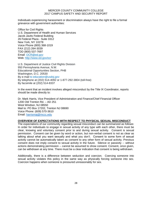Individuals experiencing harassment or discrimination always have the right to file a formal grievance with government authorities:

**Office for Civil Rights** U.S. Department of Health and Human Services Jacob Javits Federal Building 26 Federal Plaza - Suite 3312 New York, NY 10278 Voice Phone (800) 368-1019 FAX (212) 264-3039 TDD (800) 537-7697 Email: [OCR@ed.gov](mailto:OCR@ed.gov) Web: [http://www.ed.gov/ocr](http://www2.ed.gov/about/offices/list/ocr/index.html)

U.S. Department of Justice Civil Rights Division 950 Pennsylvania Avenue, N.W. Educational Opportunities Section, PHB Washington, D.C. 20530 By e-mail to [education@usdoj.gov](mailto:education@usdoj.gov) By telephone at (202) 514-4092 or 1-877-292-3804 (toll-free) By facsimile at (202) 514-8337

In the event that an incident involves alleged misconduct by the Title IX Coordinator, reports should be made directly to:

Dr. Mark Harris, Vice President of Administration and Finance/Chief Financial Officer 1200 Old Trenton Rd. – AD 251 West Windsor, NJ 08550 Mail to: PO Box 17202, Trenton NJ 08690 Voice Phone: (609) 570-3610 Email: [harrismaj@mccc.edu](mailto:harrismaj@mccc.edu)

## **OVERVIEW OF EXPECTATIONS WITH RESPECT TO PHYSICAL SEXUAL MISCONDUCT**

The expectations of our community regarding sexual misconduct can be summarized as follows: In order for individuals to engage in sexual activity of any type with each other, there must be clear, knowing and voluntary consent prior to and during sexual activity. Consent is sexual permission. Consent can be given by word or action, but non-verbal consent is not as clear as talking about what you want sexually and what you don't. Consent to some form of sexual activity cannot be automatically taken as consent to any other form of sexual activity. Previous consent does not imply consent to sexual activity in the future. Silence or passivity -- without actions demonstrating permission -- cannot be assumed to show consent. Consent, once given, can be withdrawn at any time. There must be a clear indication that consent is being withdrawn.

Additionally, there is a difference between seduction and coercion. Coercing someone into sexual activity violates this policy in the same way as physically forcing someone into sex. Coercion happens when someone is pressured unreasonably for sex.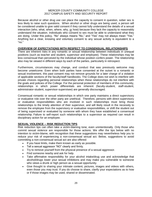Because alcohol or other drug use can place the capacity to consent in question, sober sex is less likely to raise such questions. When alcohol or other drugs are being used, a person will be considered unable to give valid consent if they cannot fully understand the details of a sexual interaction (who, what, when, where, why, or how) because they lack the capacity to reasonably understand the situation. Individuals who consent to sex must be able to understand what they are doing. Under this policy, "No" always means "No," and "Yes" may not always mean "Yes." Anything but a clear, knowing and voluntary consent to any sexual activity is equivalent to a "no."

## **OVERVIEW OF EXPECTATIONS WITH RESPECT TO CONSENSUAL RELATIONSHIPS**

There are inherent risks in any romantic or sexual relationship between individuals in unequal positions (such as teacher and student, supervisor and employee). These relationships may be less consensual than perceived by the individual whose position confers power. The relationship also may be viewed in different ways by each of the parties, particularly in retrospect.

Furthermore, circumstances may change, and conduct that was previously welcome may become unwelcome. Even when both parties have consented at the outset to a romantic or sexual involvement, this past consent may not remove grounds for a later charge of a violation of applicable sections of the faculty/staff handbooks. The College does not wish to interfere with private choices regarding personal relationships when these relationships do not interfere with the goals and policies of the College. For the personal protection of members of this community, relationships in which power differentials are inherent (faculty-student, staff-student, administrator-student, supervisor-supervisee) are generally discouraged.

Consensual romantic or sexual relationships in which one party maintains a direct supervisory or evaluative role over the other party are unethical. Therefore, persons with direct supervisory or evaluative responsibilities who are involved in such relationships must bring those relationships to the timely attention of their supervisor, and will likely result in the necessity to remove the employee from the supervisory or evaluative responsibilities, or shift the student out of being supervised or evaluated by someone with whom they have established a consensual relationship. Failure to self-report such relationships to a supervisor as required can result in disciplinary action for an employee.

## **SEXUAL VIOLENCE -- RISK REDUCTION TIPS**

Risk reduction tips can often take a victim-blaming tone, even unintentionally. Only those who commit sexual violence are responsible for those actions. We offer the tips below with no intention to victim-blame, with recognition that these suggestions may nevertheless help you to reduce your risk of experiencing a non-consensual sexual act. Below, suggestions to avoid committing a non-consensual sexual act are also offered:

- If you have limits, make them known as early as possible.
- Tell a sexual aggressor "NO" clearly and firmly.
- Try to remove yourself from the physical presence of a sexual aggressor.
- Find someone nearby and ask for help.
- Take affirmative responsibility for your alcohol intake/drug use and acknowledge that alcohol/drugs lower your sexual inhibitions and may make you vulnerable to someone who views a drunk or high person as a sexual opportunity.
- Give thought to sharing your intimate content, pictures, images and videos with others, even those you may trust. If you do choose to share, clarify your expectations as to how or if those images may be used, shared or disseminated.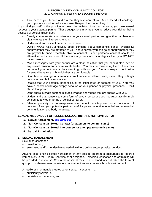Take care of your friends and ask that they take care of you. A real friend will challenge you if you are about to make a mistake. Respect them when they do.

If you find yourself in the position of being the initiator of sexual behavior, you owe sexual respect to your potential partner. These suggestions may help you to reduce your risk for being accused of sexual misconduct:

- Clearly communicate your intentions to your sexual partner and give them a chance to clearly relate their intentions to you.
- Understand and respect personal boundaries.
- DON'T MAKE ASSUMPTIONS about consent; about someone's sexual availability; about whether they are attracted to you; about how far you can go or about whether they are physically and/or mentally able to consent. Your partner's consent should be affirmative and continuous. If there are any questions or ambiguity then you DO NOT have consent.
- Mixed messages from your partner are a clear indication that you should stop, defuse any sexual tension and communicate better. You may be misreading them. They may not have figured out how far they want to go with you yet. You must respect the timeline for sexual behaviors with which they are comfortable.
- Don't take advantage of someone's drunkenness or altered state, even if they willingly consumed alcohol or substances.
- Realize that your potential partner could feel intimidated or coerced by you. You may have a power advantage simply because of your gender or physical presence. Don't abuse that power.
- Don't share intimate content, pictures, images and videos that are shared with you.
- Understand that consent to some form of sexual behavior does not automatically imply consent to any other forms of sexual behavior.
- Silence, passivity, or non-responsiveness cannot be interpreted as an indication of consent. Read your potential partner carefully, paying attention to verbal and non-verbal communication and body language.

## **SEXUAL MISCONDUCT OFFENSES INCLUDE, BUT ARE NOT LIMITED TO:**

- **1. Sexual Harassment, [see OMB 965](https://mlink.mccc.edu/omb/OMB965.pdf)**
- **2. Non-Consensual Sexual Contact (or attempts to commit same)**
- **3. Non-Consensual Sexual Intercourse (or attempts to commit same)**
- **4. Sexual Exploitation**

## **1. SEXUAL HARASSMENT**

Sexual harassment is:

- unwelcomed.
- sex-based and/or gender-based verbal, written, online and/or physical conduct.

Anyone experiencing sexual harassment in any college program is encouraged to report it immediately to the Title IX Coordinator or designee. Remedies, education and/or training will be provided in response. Sexual harassment may be disciplined when it takes the form of quid pro quo harassment, retaliatory harassment and/or creates a hostile environment.

A hostile environment is created when sexual harassment is:

- sufficiently severe, or
- persistent or pervasive, and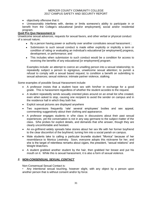- objectively offensive that it:
- Unreasonably interferes with, denies or limits someone's ability to participate in or benefit from the College's educational [and/or employment], social and/or residential program.

## **Quid Pro Quo Harassment is**:

Unwelcome sexual advances, requests for sexual favors, and other verbal or physical conduct of a sexual nature;

- By a person having power or authority over another constitutes sexual harassment ;
- Submission to such sexual conduct is made either explicitly or implicitly a term or condition of rating or evaluating an individual's educational [or employment] progress, development, or performance; and
- This includes when submission to such conduct would be a condition for access to receiving the benefits of any educational [or employment] program.

Examples include: an attempt to coerce an unwilling person into a sexual relationship; to repeatedly subject a person to egregious, unwelcome sexual attention; to punish a refusal to comply with a sexual based request; to condition a benefit on submitting to sexual advances; sexual violence; intimate partner violence, stalking.

Some examples of possible Sexual Harassment include:

- A professor insists that a student have sex with him/her in exchange for a good grade. This is harassment regardless of whether the student accedes to the request.
- A student repeatedly sends sexually oriented jokes around on an email list s/he created, even when asked to stop, causing one recipient to avoid the sender on campus and in the residence hall in which they both live.
- Explicit sexual pictures are displayed anywhere
- Two supervisors frequently 'rate' several employees' bodies and sex appeal, commenting suggestively about their clothing and appearance.
- A professor engages students in s/he class in discussions about their past sexual experiences, yet the conversation is not in any way germane to the subject matter of the class. S/he probes for explicit details, and demands that s/he answer, though they are clearly uncomfortable and hesitant.
- An ex-girlfriend widely spreads false stories about her sex life with her former boyfriend to the clear discomfort of the boyfriend, turning him into a social pariah on campus.
- Male students take to calling a particular brunette student "Monica" because of her resemblance to Monica Lewinsky. Soon, everyone adopts this nickname for her, and she is the target of relentless remarks about cigars, the president, "sexual relations" and Weight Watchers.
- A student grabbed another student by the hair, then grabbed her breast and put his mouth on it. While this is sexual harassment, it is also a form of sexual violence.

## *2. NON-CONSENSUAL SEXUAL CONTACT*

Non-Consensual Sexual Contact is:

• Any intentional sexual touching, however slight, with any object by a person upon another person that is without consent and/or by force.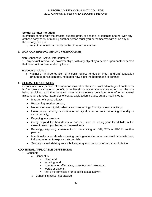## **Sexual Contact includes:**

Intentional contact with the breasts, buttock, groin, or genitals, or touching another with any of these body parts, or making another person touch you or themselves with or on any of these body parts; or

o Any other intentional bodily contact in a sexual manner.

## *3. NON-CONSENSUAL SEXUAL INTERCOURSE*

Non-Consensual Sexual Intercourse is:

• any sexual intercourse, however slight, with any object by a person upon another person that is without consent and/or by force.

Intercourse includes:

o vaginal or anal penetration by a penis, object, tongue or finger, and oral copulation (mouth to genital contact), no matter how slight the penetration or contact.

## **4. SEXUAL EXPLOITATION**

Occurs when one person takes non-consensual or abusive sexual advantage of another for his/her own advantage or benefit, or to benefit or advantage anyone other than the one being exploited, and that behavior does not otherwise constitute one of other sexual misconduct offenses. Examples of sexual exploitation include, but are not limited to:

- Invasion of sexual privacy;
- Prostituting another person;
- Non-consensual digital, video or audio recording of nudity or sexual activity;
- Unauthorized sharing or distribution of digital, video or audio recording of nudity or sexual activity;
- Engaging in voyeurism;
- Going beyond the boundaries of consent (such as letting your friend hide in the closet to watch you having consensual sex);
- Knowingly exposing someone to or transmitting an STI, STD or HIV to another person;
- Intentionally or recklessly exposing one's genitals in non-consensual circumstances; inducing another to expose their genitals;
- Sexually-based stalking and/or bullying may also be forms of sexual exploitation

## **ADDITIONAL APPLICABLE DEFINITIONS:**

- Consent:
	- o Consent is
		- **-** clear, and
		- **E** knowing, and
		- voluntary [or affirmative, conscious and voluntary],
		- words or actions.
		- **that give permission for specific sexual activity.**
	- o Consent is active, not passive.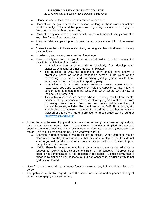- o Silence, in and of itself, cannot be interpreted as consent.
- $\circ$  Consent can be given by words or actions, as long as those words or actions create mutually understandable permission regarding willingness to engage in (and the conditions of) sexual activity.
- o Consent to any one form of sexual activity cannot automatically imply consent to any other forms of sexual activity.
- o Previous relationships or prior consent cannot imply consent to future sexual acts.
- o Consent can be withdrawn once given, as long as that withdrawal is clearly communicated.
- o In order to give consent, one must be of legal age.
- $\circ$  Sexual activity with someone you know to be or should know to be incapacitated constitutes a violation of this policy.
	- Incapacitation can occur mentally or physically, from developmental disability, by alcohol or other drug use, or blackout.
	- The question of what the responding party should have known is objectively based on what a reasonable person in the place of the responding party, sober and exercising good judgment, would have known about the condition of the reporting party.
	- **Incapacitation is a state where someone cannot make rational,** reasonable decisions because they lack the capacity to give knowing consent (e.g., to understand the "who, what, when, where, why or how" of their sexual interaction).
	- This policy also covers a person whose incapacity results from mental disability, sleep, unconsciousness, involuntary physical restraint, or from the taking of rape drugs. [Possession, use and/or distribution of any of these substances, including Rohypnol, Ketomine, GHB, Burundanga, etc. is prohibited, and administering one of these drugs to another student is a violation of this policy. More information on these drugs can be found at <http://www.911rape.org/>
- Force: Force is the use of physical violence and/or imposing on someone physically to gain sexual access. Force also includes threats, intimidation (implied threats) and coercion that overcomes free will or resistance or that produces consent ("Have sex with me or I'll hit you. Okay, don't hit me, I'll do what you want.").
	- o Coercion is unreasonable pressure for sexual activity. When someone makes clear to you that they do not want sex, that they want to stop, or that they do not want to go past a certain point of sexual interaction, continued pressure beyond that point can be coercive.
	- o NOTE: There is no requirement for a party to resist the sexual advance or request, but resistance is a clear demonstration of non-consent. The presence of force is not demonstrated by the absence of resistance. Sexual activity that is forced is by definition non-consensual, but non-consensual sexual activity is not by definition forced.
- Use of alcohol or other drugs will never function to excuse any behavior that violates this policy.
- This policy is applicable regardless of the sexual orientation and/or gender identity of individuals engaging in sexual activity.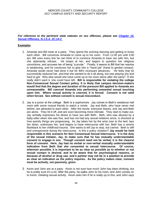## *For reference to the pertinent state statutes on sex offenses, please see [Chapter 14,](http://www.womenslaw.org/statutes_detail.php?statute_id=5999)  [Sexual Offenses, N.J.S.A. 2C:14-2](http://www.womenslaw.org/statutes_detail.php?statute_id=5999)*

## **Examples**

- 1. Amanda and Bill meet at a party. They spend the evening dancing and getting to know each other. Bill convinces Amanda to come up to his room. From 11:00 pm until 3:00 am, Bill uses every line he can think of to convince Amanda to have sex with him, but she adamantly refuses. He keeps at her, and begins to question her religious convictions, and accuses her of being "a prude." Finally, it seems to Bill that her resolve is weakening, and he convinces her to give him a "hand job" (hand to genital contact). Amanda would never had done it but for Bill's incessant advances. He feels that he successfully seduced her, and that she wanted to do it all along, but was playing shy and hard to get. Why else would she have come up to his room alone after the party? If she really didn't want it, she could have left. **Bill is responsible for violating the college Non-Consensual Sexual Contact policy. It is likely that campus decision-makers would find that the degree and duration of the pressure Bill applied to Amanda are unreasonable. Bill coerced Amanda into performing unwanted sexual touching upon him. Where sexual activity is coerced, it is forced. Consent is not valid when forced. Sex without consent is sexual misconduct.**
- 2. Jay is a junior at the college. Beth is a sophomore. Jay comes to Beth's residence hall room with some mutual friends to watch a movie. Jay and Beth, who have never met before, are attracted to each other. After the movie, everyone leaves, and Jay and Beth are alone. They hit it off, and are soon becoming more intimate. They start to make out. Jay verbally expresses his desire to have sex with Beth. Beth, who was abused by a baby-sitter when she was five, and has not had any sexual relations since, is shocked at how quickly things are progressing. As Jay takes her by the wrist over to the bed, lays her down, undresses her, and begins to have intercourse with her, Beth has a severe flashback to her childhood trauma. She wants to tell Jay to stop, but cannot. Beth is stiff and unresponsive during the intercourse. Is this a policy violation? **Jay would be held responsible in this scenario for Non Consensual Sexual Intercourse. It is the duty of the sexual initiator, Jay, to make sure that he has mutually understandable consent to engage in sex. Though consent need not be verbal, it is the clearest form of consent. Here, Jay had no verbal or non-verbal mutually understandable indication from Beth that she consented to sexual intercourse. Of course, wherever possible, it is important to be as clear as possible as to whether or not sexual contact is desired, and to be aware that for psychological reasons, or because of alcohol or drug use, one's partner may not be in a position to provide as clear an indication as the policy requires. As the policy makes clear, consent must be actively, not passively, given.**
- 3. Kevin and John are at a party. Kevin is not sure how much John has been drinking, but he is pretty sure it's a lot. After the party, he walks John to his room, and John comes on to Kevin, initiating sexual activity. Kevin asks him if he is really up to this, and John says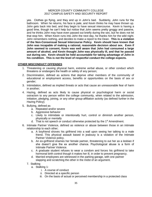yes. Clothes go flying, and they end up in John's bed. Suddenly, John runs for the bathroom. When he returns, his face is pale, and Kevin thinks he may have thrown up. John gets back into bed, and they begin to have sexual intercourse. Kevin is having a good time, though he can't help but notice that John seems pretty groggy and passive, and he thinks John may have even passed out briefly during the sex, but he does not let that stop him. When Kevin runs into John the next day, he thanks him for the wild night. John remembers nothing, and decides to make a report to the Dean. **This is a violation of the Non-Consensual Sexual Intercourse Policy. Kevin should have known that John was incapable of making a rational, reasonable decision about sex. Even if John seemed to consent, Kevin was well aware that John had consumed a large amount of alcohol, and Kevin thought John was physically ill, and that he passed out during sex. Kevin should be held accountable for taking advantage of John in his condition. This is not the level of respectful conduct the college expects.**

## **OTHER MISCONDUCT OFFENSES**

- 1. Threatening or causing physical harm, extreme verbal abuse, or other conduct which threatens or endangers the health or safety of any person;
- 2. Discrimination, defined as actions that deprive other members of the community of educational or employment access, benefits or opportunities on the basis of sex or gender;
- 3. Intimidation, defined as implied threats or acts that cause an unreasonable fear of harm in another;
- 4. Hazing, defined as acts likely to cause physical or psychological harm or social ostracism to any person within the college community, when related to the admission, initiation, pledging, joining, or any other group-affiliation activity (as defined further in the Hazing Policy);
- 5. Bullying, defined as
	- a. Repeated and/or severe
	- b. Aggressive behavior
	- c. Likely to intimidate or intentionally hurt, control or diminish another person, physically or mentally
	- d. That is not speech or conduct otherwise protected by the  $1<sup>st</sup>$  Amendment.
- 6. Intimate Partner Violence, defined as violence or abuse between those in an intimate relationship to each other;
	- a. A boyfriend shoves his girlfriend into a wall upon seeing her talking to a male friend. This physical assault based in jealousy is a violation of the Intimate Partner Violence policy.
	- b. An ex-girlfriend shames her female partner, threatening to out her as a lesbian if she doesn't give the ex another chance. Psychological abuse is a form of Intimate Partner Violence.
	- c. A graduate student refuses to wear a condom and forces his girlfriend to take hormonal birth control though it makes her ill, in order to prevent pregnancy.
	- d. Married employees are witnessed in the parking garage, with one partner slapping and scratching the other in the midst of an argument.
	- 7. Stalking
		- a. Stalking 1:
			- i. A course of conduct
			- ii. Directed at a specific person
			- iii. On the basis of actual or perceived membership in a protected class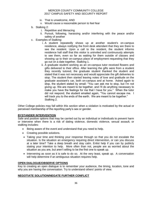- iv. That is unwelcome, AND
- v. Would cause a reasonable person to feel fear
- b. Stalking 2:
	- i. Repetitive and Menacing
	- ii. Pursuit, following, harassing and/or interfering with the peace and/or safety of another
- c. Examples of Stalking:
	- i. A student repeatedly shows up at another student's on-campus residence, always notifying the front desk attendant that they are there to see the resident. Upon a call to the resident, the student informs residence hall staff that this visitor is uninvited and continuously attempts to see them, even so far as waiting for them outside of classes and showing up to their on-campus place of employment requesting that they go out on a date together. Stalking 1.
	- ii. A graduate student working as an on-campus tutor received flowers and gifts delivered to their office. After learning the gifts were from a student they recently tutored, the graduate student thanked the student and stated that it was not necessary and would appreciate the gift deliveries to stop. The student then started leaving notes of love and gratitude on the graduate assistant's car, both on-campus and at home. Asked again to stop, the student stated by email: "You can ask me to stop, but I'm not giving up. We are meant to be together, and I'll do anything necessary to make you have the feelings for me that I have for you." When the tutor did not respond, the student emailed again, "You cannot escape me. I will track you to the ends of the earth. We are meant to be together." Stalking 2.

Other College policies may fall within this section when a violation is motivated by the actual or perceived membership of the reporting party's sex or gender.

## **BYSTANDER INTERVENTION**

Safe and positive options that may be carried out by an individual or individuals to prevent harm or intervene when there is a risk of dating violence, domestic violence, sexual assault, or stalking includes:

- Being aware of the event and understand that you need to help.
- Creating possible solutions.
- Taking your time and thinking your response through so that you do not escalate the situation. Is the situation an emergency requiring direct intervention, or can you discuss at a later time? Take a deep breath and stay calm. Enlist help if you can by publicly stating your intention to help. More often than not, people are as worried about the situation as you are, but aren't willing to be the first one to speak up.
- Intervening as soon as it is safe to do so. At the very least, speak up. A conversation will help determine if an ambiguous situation requires help.

## **OPEN DIALOGUE/OBSERVE OPTIONS**

Key to creating an open dialogue is to remember your audience, the timing, location, tone and why you are having the conversation. Try to understand others' points of view.

## **NEGOTIATE SOLUTION/NEGATE FURTHER CONFLICT**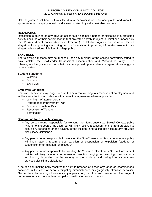Help negotiate a solution. Tell your friend what behavior is or is not acceptable, and know the appropriate next step if you feel the discussion failed to yield a desirable outcome.

## **RETALIATION**

Retaliation is defined as any adverse action taken against a person participating in a protected activity because of their participation in that protected activity (subject to limitations imposed by the  $1<sup>st</sup>$  Amendment and/or Academic Freedom). Retaliation against an individual for an allegation, for supporting a reporting party or for assisting in providing information relevant to an allegation is a serious violation of college policy.

## **SANCTIONS**

The following sanctions may be imposed upon any member of the college community found to have violated the Sex/Gender Harassment, Discrimination and Misconduct Policy. The following are the typical sanctions that may be imposed upon students or organizations singly or in combination:

## **Student Sanctions**

- Warning
- Suspension
- **•** Expulsion

## **Employee Sanctions**

Employee sanctions may range from written or verbal warning to termination of employment and will be carried out in accordance with contractual agreement where applicable.

- Warning Written or Verbal
- Performance Improvement Plan
- Suspension without Pay
- Revocation of Tenure
- **•** Termination

## **Sanctioning for Sexual Misconduct**

- Any person found responsible for violating the Non-Consensual Sexual Contact policy (where no intercourse has occurred) will likely receive a sanction ranging from probation to expulsion, depending on the severity of the incident, and taking into account any previous disciplinary violations.\*
- Any person found responsible for violating the Non-Consensual Sexual Intercourse policy will likely face a recommended sanction of suspension or expulsion (student) or suspension or termination (employee).\*
- Any person found responsible for violating the Sexual Exploitation or Sexual Harassment policies will likely receive a recommended sanction ranging from warning to expulsion or termination, depending on the severity of the incident, and taking into account any previous disciplinary violations.\*

\*The decision-making body reserves the right to broaden or lessen any range of recommended sanctions in the case of serious mitigating circumstances or egregiously offensive behavior. Neither the initial hearing officers nor any appeals body or officer will deviate from the range of recommended sanctions unless compelling justification exists to do so.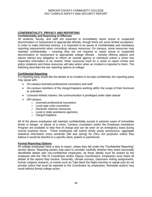# **CONFIDENTIALITY, PRIVACY AND REPORTING**

## **Confidentiality and Reporting of Offenses**

All students, faculty, and staff are expected to immediately report actual or suspected discrimination or harassment to appropriate officials, though there are some limited exceptions. In order to make informed choices, it is important to be aware of confidentiality and mandatory reporting requirements when consulting campus resources. On campus, some resources may maintain confidentiality – meaning they are not required to report actual or suspected discrimination or harassment to appropriate college officials - thereby offering options and advice without any obligation to inform an outside agency or individual unless a victim has requested information to be shared. Other resources exist for a victim to report crimes and policy violations and these resources will take action when an incident is reported to them. The following describes the two reporting options at college:

## **Confidential Reporting**

If a reporting party would like the details of an incident to be kept confidential, the reporting party may speak with:

- On-campus licensed professional counselors and staff
- On-campus members of the clergy/chaplains working within the scope of their licensure or ordination
- Licensed Athletic trainers. the communication is privileged under state statute
- Off-campus:
	- o Licensed professional counselors
	- o Local rape crisis counselors
	- o Domestic violence resources,
	- o Local or state assistance agencies,
	- o Clergy/Chaplains

All of the above employees will maintain confidentiality except in extreme cases of immediate threat or danger, or abuse of a minor. Campus counselors and/or the Employee Assistance Program are available to help free of charge and can be seen on an emergency basis during normal business hours. These employees will submit timely yearly anonymous, aggregate statistical information every semester (fall and spring) for Clery Act purposes unless they believe it would be harmful to a specific client, patient or parishioner.

## **Formal Reporting Options**

All college employees have a duty to report, unless they fall under the "Confidential Reporting" section above. Reporting parties may want to consider carefully whether they share personally identifiable details with non-confidential employees, as those details must be shared by the employee with the Title IX Coordinator and/or Deputy Coordinators. Employees must share all details of the reports they receive. Generally, climate surveys, classroom writing assignments, human subjects research, or events such as Take Back the Night marches or speak-outs do not provide notice that must be reported to the Coordinator by employees. Remedial actions may result without formal college action.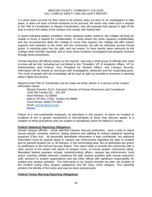If a victim does not wish for their name to be shared, does not wish for an investigation to take place, or does not want a formal resolution to be pursued, the victim may make such a request to the Title IX Coordinator or Deputy Coordinators, who will evaluate that request in light of the duty to ensure the safety of the campus and comply with federal law.

In cases indicating pattern, predation, threat, weapons and/or violence, the College will likely be unable to honor a request for confidentiality. In cases where the victim requests confidentiality and the circumstances allow the College to honor that request, the College will offer interim supports and remedies to the victim and the community, but will not otherwise pursue formal action. A reporting party has the right, and can expect, to have reports taken seriously by the College when formally reported, and to have those incidents investigated and properly resolved through these procedures.

Formal reporting still affords privacy to the reporter, and only a small group of officials who need to know will be told, including but not limited to the: President, VP of Academic Affairs, VP for Administration and Finance, Vice President for Student Affairs, and Campus Security. Information will be shared as necessary with investigators, witnesses and the responding party. The circle of people with this knowledge will be kept as tight as possible to preserve a reporting party's rights and privacy.

Reports to the Title IX Coordinator can be made via email, phone or in person at the contact information below:

Monise Princilus, Ed.S, Executive Director of Human Resources and Compliance 1200 Old Trenton Rd. – AD 254 West Windsor, NJ 08550 Mail to: PO Box 17202, Trenton NJ 08690 Voice Phone: (609) 570-3635 Email: [princilm@mccc.edu](mailto:princilm@mccc.edu) Mobile:

Failure of a non-confidential employee, as described in this section, to report an incident or incidents of sex or gender harassment or discrimination of which they become aware, is a violation of these procedures and can subject to disciplinary action for failure to comply.

## **Federal Statistical Reporting Obligations**

Certain campus officials – those deemed Campus Security Authorities - have a duty to report sexual assault, domestic violence, dating violence and stalking for federal statistical reporting purposes (Clery Act). All personally identifiable information is kept confidential, but statistical information must be passed along to campus law enforcement regarding the type of incident and its general location (on or off-campus, in the surrounding area, but no addresses are given) for publication in the Annual Security Report. This report helps to provide the community with a clear picture of the extent and nature of campus crime, to ensure greater community safety. Mandated federal reporters include: student/conduct affairs, campus law enforcement, local police, coaches, athletic directors, residence life staff, student activities staff, human resources staff, advisors to student organizations and any other official with significant responsibility for student and campus activities. The information to be shared includes the date, the location of the incident (using Clery location categories) and the Clery crime category. This reporting protects the identity of the victim and may be done anonymously.

## **Federal Timely Warning Reporting Obligations**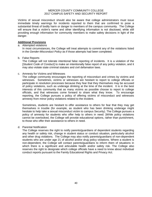Victims of sexual misconduct should also be aware that college administrators must issue immediate timely warnings for incidents reported to them that are confirmed to pose a substantial threat of bodily harm or danger to members of the campus community. The College will ensure that a victim's name and other identifying information is not disclosed, while still providing enough information for community members to make safety decisions in light of the danger.

## **Additional Provisions**

## a. Attempted violations

In most circumstances, the College will treat attempts to commit any of the violations listed in the *Gender-Misconduct Policy* as if those attempts had been completed.

## b. False Reports

The College will not tolerate intentional false reporting of incidents. It is a violation of the [*Student Code of Conduct*] to make an intentionally false report of any policy violation, and it may also violate state criminal statutes and civil defamation laws.

## c. Amnesty for Victims and Witnesses

The college community encourages the reporting of misconduct and crimes by victims and witnesses. Sometimes, victims or witnesses are hesitant to report to college officials or participate in resolution processes because they fear that they themselves may be accused of policy violations, such as underage drinking at the time of the incident. It is in the best interests of this community that as many victims as possible choose to report to college officials, and that witnesses come forward to share what they know. To encourage reporting, the College pursues a policy of offering victims of misconduct and witnesses amnesty from minor policy violations related to the incident.

Sometimes, students are hesitant to offer assistance to others for fear that they may get themselves in trouble (for example, as student who has been drinking underage might hesitate to help take a sexual misconduct victim to campus Security). The College pursues a policy of amnesty for students who offer help to others in need. [While policy violations cannot be overlooked, the College will provide educational options, rather than punishment, to those who offer their assistance to others in need.

## d. Parental Notification

The College reserves the right to notify parents/guardians of dependent students regarding any health or safety risk, change in student status or conduct situation, particularly alcohol and other drug violations. The College may also notify parents/guardians of non-dependent students who are under age 21 of alcohol and/or drug policy violations. Where a student is non-dependent, the College will contact parents/guardians to inform them of situations in which there is a significant and articulable health and/or safety risk. The College also reserves the right to designate which college officials have a need to know about individual conduct reports pursuant to the Family Educational Rights and Privacy Act.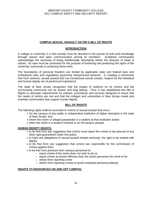## **CAMPUS SEXUAL ASSAULT VICTIM`S BILL OF RIGHTS**

## **INTRODUCTION**

A college or university in a free society must be devoted to the pursuit of truth and knowledge through reason and open communication among its members. Academic communities acknowledge the necessity of being intellectually stimulating where the diversity of ideas is valued. Its rules must be conceived for the purpose of furthering and protecting the rights of the university community in achieving these ends.

The boundaries of personal freedom are limited by applicable state and federal laws and institutional rules and regulations governing interpersonal behavior. In creating a community free from violence, sexual assault and non-consensual sexual contact, respect for the individual and human dignity are of paramount importance.

The state of New Jersey recognizes that the impact of violence on its victims and the surrounding community can be severe and long lasting. Thus, it has established this Bill of Rights to articulate requirements for policies, procedures and services designed to insure that the needs of victims are met and that the colleges and universities in New Jersey create and maintain communities that support human dignity.

## **BILL OF RIGHTS**

The following rights shall be accorded to victims of sexual assault that occur:

- On the campus of any public or independent institution of higher education in the state of New Jersey, and
- where the victim or alleged perpetrator is a student at that institution and/or
- when the victim is a student involved in an off-campus assault.

## **HUMAN DIGNITY RIGHTS:**

- to be free from any suggestion that victims must report the crimes to be assured of any other right guaranteed under this policy.
- to have any allegations of sexual assault treated seriously; the right to be treated with dignity
- to be free from any suggestion that victims are responsible for the commission of crimes against them
- to be free from pressure from campus personnel to:
	- o report crimes if the victim does not wish to do so
	- $\circ$  report crimes as lesser offenses than the victim perceives the crime to be
	- $\circ$  refrain from reporting crime
	- o refrain from reporting crimes to avoid unwanted personal publicity.

## **RIGHTS TO RESOURCES ON AND OFF CAMPUS:**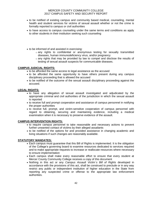- to be notified of existing campus and community based medical, counseling, mental health and student services for victims of sexual assault whether or not the crime is formally reported to campus or civil authorities
- to have access to campus counseling under the same terms and conditions as apply to other students in their institution seeking such counseling
- to be informed of and assisted in exercising:
	- $\circ$  any rights to confidential or anonymous testing for sexually transmitted diseases, human immunodeficiency virus, and/or pregnancy
	- $\circ$  any rights that may be provided by law to compel and disclose the results of testing of sexual assault suspects for communicable diseases.

## **CAMPUS JUDICIAL RIGHTS:**

- to be afforded the same access to legal assistance as the accused
- to be afforded the same opportunity to have others present during any campus disciplinary proceeding that is allowed the accused
- to be notified of the outcome of the sexual assault disciplinary proceeding against the accused.

## **LEGAL RIGHTS:**

- to have any allegation of sexual assault investigated and adjudicated by the appropriate criminal and civil authorities of the jurisdiction in which the sexual assault is reported
- to receive full and prompt cooperation and assistance of campus personnel in notifying the proper authorities
- to receive full, prompt, and victim-sensitive cooperation of campus personnel with regard to obtaining, securing and maintaining evidence, including a medical examination when it is necessary to preserve evidence of the assault.

## **CAMPUS INTERVENTION RIGHTS:**

- to require campus personnel to take reasonable and necessary actions to prevent further unwanted contact of victims by their alleged assailants
- to be notified of the options for and provided assistance in changing academic and living situations if such changes are reasonably available.

## **STATUTORY MANDATES:**

- Each campus must guarantee that this Bill of Rights is implemented. It is the obligation of the College's governing board to examine resources dedicated to services required and to make appropriate requests to increase or reallocate resources where necessary to ensure implementation
- Each campus shall make every reasonable effort to ensure that every student at Mercer County Community College receives a copy of this document
- Nothing in this act or any *Campus Assault Victim`s Bill of Rights* developed in accordance with the provisions of this act, shall be construed to preclude or in any way restrict any public or independent institution of higher education in the State from reporting any suspected crime or offense to the appropriate law enforcement authorities.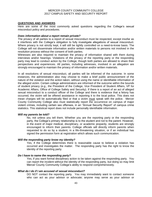## **QUESTIONS AND ANSWERS**

Here are some of the most commonly asked questions regarding the College's sexual misconduct policy and procedures.

## *Does information about a report remain private?*

The privacy of all parties to a report of sexual misconduct must be respected, except insofar as it interferes with the College's obligation to fully investigate allegations of sexual misconduct. Where privacy is not strictly kept, it will still be tightly controlled on a need-to-know basis. The College will not disseminate information and/or written materials to persons not involved in the resolution process without the consent of both parties.

Witnesses are also required to maintain the privacy of information shared with them during interviews and/or hearings. Violations of the privacy of the reporting party or the responding party may lead to conduct action by the College, though both parties are allowed to share their perspectives and experiences. All parties, including witnesses, involved in an allegation are strongly encouraged to maintain the privacy of information and/or written materials.

In all resolutions of sexual misconduct, all parties will be informed of the outcome. In some instances, the administration also may choose to make a brief public announcement of the nature of the violation and the action taken, without using the name or identifiable information of the alleged victim. Certain college administrators are informed of the outcome within the bounds of student privacy (e.g., the President of the College, Vice President of Student Affairs, VP for Academic Affairs, Office of College Safety and Security). If there is a report of an act of alleged sexual misconduct to a conduct officer of the College and there is evidence that a felony has occurred, the victim will be offered assistance in reporting it to the local police. This does not mean charges will be automatically filed or that a victim must speak with the police. Mercer County Community College also must statistically report the occurrence on campus of major violent crimes, including certain sex offenses, in an "Annual Security Report" of campus crime statistics. This statistical report does not include personally identifiable information.

## *Will my parents be told?*

No, not unless you tell them. Whether you are the reporting party or the responding party, the College's primary relationship is to the student and not to the parent. However, in the event of major medical, disciplinary, or academic jeopardy, students are strongly encouraged to inform their parents. College officials will directly inform parents when requested to do so by a student, in a life-threatening situation, or if an individual has signed the permission form at registration which allows such communication.

## *Will the responding party know my identity?*

Yes, if the College determines there is reasonable cause to believe a violation has occurred and investigates the matter. The responding party has the right to know the identity of the reporting party.

## *Do I have to name the responding party?*

Yes, if you want formal disciplinary action to be taken against the responding party. You can report the incident without the identity of the responding party, but doing so may limit Mercer County Community College's ability to respond comprehensively.

## *What do I do if I am accused of sexual misconduct?*

DO NOT contact the reporting party. You may immediately want to contact someone who can act as your advisor or advocate; anyone may serve as your advisor or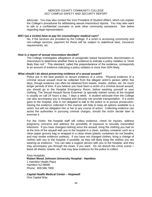advocate. You may also contact the Vice President of Student Affairs, which can explain the College's procedures for addressing sexual misconduct reports. You may also want to talk to a confidential counselor or seek other community assistance. See below regarding legal representation.

#### *Will I (as a victim) have to pay for counseling/or medical care?*

No, if the services are provided by the College. If a victim is accessing community and non-college services, payment for these will be subject to state/local laws, insurance requirements, etc.

## *How is a report of sexual misconduct decided?*

The College investigates allegations of sex/gender based harassment, discrimination or misconduct to determine whether there is evidence to indicate a policy violation is "more likely than not." This standard, called the preponderance of the evidence, corresponds to an amount of evidence indicating a policy violation is more than 50% likely.

## *What should I do about preserving evidence of a sexual assault?*

Police are in the best position to secure evidence of a crime. Physical evidence of a criminal sexual assault must be collected from the alleged victim's person within five days, though evidence can often be obtained from towels, sheets, clothes, etc. for much longer periods of time. If you believe you have been a victim of a criminal sexual assault, you should go to the Hospital Emergency Room, before washing yourself or your clothing. The Sexual Assault Nurse Examiner (a specially trained nurse) at the hospital is usually on call 24 hours a day, 7 days a week. A student advocate from the College can also accompany you to Hospital and Security can provide transportation. If a victim goes to the hospital, s/he is not obligated to talk to the police or to pursue prosecution. Having the evidence collected in this manner will help to keep all options available to a victim, but will not obligation him or her to any course of action. Collecting evidence can assist the authorities in pursuing criminal charges, should the victim decide later to exercise it.

For the Victim: the hospital staff will collect evidence, check for injuries, address pregnancy concerns and address the possibility of exposure to sexually transmitted infections. If you have changed clothing since the assault, bring the clothing you had on at the time of the assault with you to the hospital in a clean, sanitary container such as a clean paper grocery bag or wrapped in a clean sheet (plastic containers do not breathe, and may render evidence useless). If you have not changed clothes, bring a change of clothes with you to the hospital, if possible, as they will likely keep the clothes you are wearing as evidence. You can take a support person with you to the hospital, and they may accompany you through the exam, if you want. Do not disturb the crime scene leave all sheets, towels, etc. that may bear evidence for the police to collect.

Area Hospitals: **Robert Wood Johnson University Hospital - Hamilton** 1 Hamilton Health Place Hamilton NJ 08690 Phone: 609.586.7900

**Capital Health Medical Center – Hopewell** One Capital Way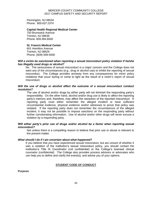Pennington, NJ 08534 Phone: 800.637.2374

## **Capital Health Regional Medical Center**

750 Brunswick Avenue Trenton, NJ 08638 Phone: 609.394.6000

## **St. Francis Medical Center**

601 Hamilton Avenue Trenton, NJ 08629 Phone: (609) 599-5000

## *Will a victim be sanctioned when reporting a sexual misconduct policy violation if he/she has illegally used drugs or alcohol?*

No. The seriousness of sexual misconduct is a major concern and the College does not want any of the circumstances (e.g., drug or alcohol use) to inhibit the reporting of sexual misconduct. The College provides amnesty from any consequences for minor policy violations that occur during or come to light as the result of a victim's report of sexual misconduct.

## *Will the use of drugs or alcohol affect the outcome of a sexual misconduct conduct resolution?*

The use of alcohol and/or drugs by either party will not diminish the responding party's responsibility. On the other hand, alcohol and/or drug use is likely to affect the reporting party's memory and, therefore, may affect the resolution of the reported misconduct. A reporting party must either remember the alleged incident or have sufficient circumstantial evidence, physical evidence and/or witnesses to prove that policy was violated. If the reporting party does not remember the circumstances of the alleged incident, it may not be possible to impose sanctions on the responding party without further corroborating information. Use of alcohol and/or other drugs will never excuse a violation by a responding party.

## *Will either party's prior use of drugs and/or alcohol be a factor when reporting sexual misconduct?*

Not unless there is a compelling reason to believe that prior use or abuse is relevant to the present matter.

## *What should I do if I am uncertain about what happened?*

If you believe that you have experienced sexual misconduct, but are unsure of whether it was a violation of the institution's sexual misconduct policy, you should contact the institution's Title IX Coordinator (not confidential) or the College's licensed clinical counselor (confidential). The College also provides process advisors or advocates who can help you to define and clarify the event(s), and advise you of your options.

## **STUDENT CODE OF CONDUCT**

**Purpose**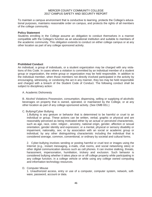To maintain a campus environment that is conductive to learning, protects the College's educational purposes, maintains reasonable order on campus, and protects the rights of all members of the college community.

## **Policy Statement**

Students enrolling in the College assume an obligation to conduct themselves in a manner compatible with the College's function as an educational institution and suitable to members of the academic community. This obligation extends to conduct on either college campus or at any other location as part of any college sponsored activity.

## **Prohibited Conduct**

An individual, a group of individuals, or a student organization may be charged with any violations of this Code. In cases where a violation is committed by an individual member of a student group or organization, the entire group or organization may be held responsible. In addition to the individual member, when those members not directly involved participated in the activity by encouraging, witnessing, or condoning the act in any manner, they too may be held responsible and charged with a breach of the Student Code of Conduct. The following conduct shall be subject to disciplinary action:

## A. Academic Dishonesty

B. Alcohol Violations Possession, consumption, dispensing, selling or supplying of alcoholic beverages on property that is owned, operated, or maintained by the College, or at any other location as part of any college-sponsored activity. (See OMB 651.)

## C. Bullying/Cyber Bullying

1.Bullying is any gesture or behavior that is determined to be harmful or cruel to an individual or group. These actions can be written, verbal, graphic or physical and are reasonably perceived as being motivated either by an actual or perceived characteristic, such as age, race, color, religion , ancestry, national origin, gender, affection or sexual orientation, gender identity and expression; or a mental, physical or sensory disability or impairment, nationality, sex; or by association with an social or academic group or individual; by any other distinguishing characteristic including the individual that is considered average, common, conventional, or ordinary by societal and cultural forms.

2. Cyber-bullying involves sending or posting harmful or cruel text or images using the Internet (e.g., instant messaging, e-mails, chat rooms, and social networking sites) or other digital communication devices such as cell phones. It can involve stalking, threats, harassment, impersonation, humiliation, trickery and exclusion. Such behavior is considered bullying whether it takes place on or off college property while participating in any college function, in a college vehicle or while using any college owned computing and information technology resources.

## D. Computer Misuse

1. Unauthorized access, entry or use of a computer, computer system, network, software, password, account or data.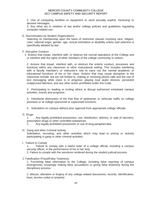2. Use of computing facilities or equipment to send sexually explicit, harassing or abusive messages.

3. Any other act in violation of law and/or college policies and guidelines regulating computer-related use.

E. Discrimination by Student Organizations

Selecting its membership upon the basis of restrictive clauses involving race, religion, color, national origin, gender, age, sexual orientation or disability unless said selection is specifically allowed by law.

F. Disruptive Conduct

1. Actions that impair, interfere with, or obstruct the normal operations of the College and or interfere with the rights of other members of the college community or visitors.

2. Actions that impair, interfere with, or obstruct the orderly conduct, processes and functions within any classroom or other instructional setting. This includes interfering with a faculty member's or instructor's role to carry out the normal academic or educational functions of his or her class. Actions that may cause disruption in the classroom include, but are not limited to, making or receiving phone calls and the use of text messaging while class is in progress; playing loud audio devices; persistent unapproved lateness; and any other action prohibited under this Code.

3. Participating in, leading or inciting others to disrupt authorized scheduled campus activities, events and programs.

4. Intentional obstruction of the free flow of pedestrian or vehicular traffic on college premises or at college sponsored or supervised functions.

5. Solicitation on campus without prior approval from appropriate college officials.

## G. Drugs

1. Any legally prohibited possession, use, distribution, delivery, or sale of narcotics, prescription drugs or other controlled substances.

- 2. Any legally prohibited possession or use of drug paraphernalia.
- H. Gang and other Criminal Activity

Solicitation, recruiting, and other activities which may lead to joining or actively participating in gang or other criminal activities.

I. Failure to Comply

1. Failure to comply with a lawful order of a college official, including a campus security officer, in the performance of his or her duty.

2. Failure to comply with the sanctions rendered during the student judicial process.

## J. Falsification /Fraud/False Testimony

1. Furnishing false information to the College, including false reporting of campus emergencies, knowingly making false accusations or giving false testimony during the disciplinary process.

2. Misuse, alteration or forgery of any college related documents, records, identification, keys, access codes or property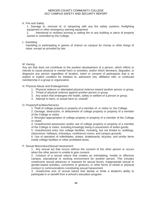## K. Fire and Safety

1. Damage to, removal of, or tampering with any fire safety systems, firefighting equipment or other emergency warning equipment.

2. Intentional or reckless burning or setting fire to any building or piece of property owned or controlled by the College.

## L. Gambling

Gambling or participating in games of chance on campus for money or other things of value, except as provided by law.

## M. Hazing

Any act that does not contribute to the positive development of a person, which inflicts or intends to cause physical or mental harm or anxieties, and/or which demeans, degrades, or disgraces any person regardless of location, intent or consent of participants that is an explicit or implicit condition for initiation to, admission into, affiliation with, or continued membership in a group or organization.

N. Physical Abuse and Endangerment

- 1. Physical violence or attempted physical violence toward another person or group.
- 2. Threat of physical violence against another person or group.
- 3. Any action that endangers the health, safety or welfare of a person or group.
- 4. Attempt to harm, or actual harm to, oneself.

## O. Property/Facilities/Services

1. Theft of college property or property of a member of, or visitor to, the College.

2. Damage, destruction, or defacement of college property or property of a member of the College or visitor.

3. Wrongful appropriation of college property or property of a member of the College or visitor.

4. Unauthorized possession and/or use of college property or property of a member of the College or visitor, including knowingly being in possession of stolen goods.

5. Unauthorized entry into college facilities, including, but not limited to, buildings, classrooms, hallways, entryways, conference rooms, and campus grounds.

6. Use of operation of rollerblades, skates, skateboards, bicycles, and similar items inside college facilities or other prohibited areas.

## P. Sexual Misconduct/Sexual Harassment

1. Any sexual act that occurs without the consent of the other person or occurs when the other person is unable to give consent.

2. Conduct of a sexual nature that creates an intimidating, hostile or offensive campus, educational or working environment for another person. This includes unwelcome sexual advances or requests for sexual favors, inappropriate sexual or gender-based activities, comments or gestures, or other forms of verbal or physical conduct or communications constituting sexual harassment.

3. Unwelcome acts of sexual nature that denies or limits a student's ability to participate in or benefit from a school's education program.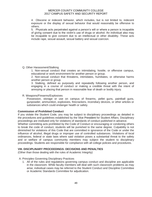4. Obscene or indecent behavior, which includes, but is not limited to, indecent exposure or the display of sexual behavior that would reasonably be offensive to others.

5. Physicals acts perpetrated against a person's will or where a person is incapable of giving consent due to the victim's use of drugs or alcohol. An individual also may be incapable to give consent due to an intellectual or other disability. These acts include rape, sexual assault, sexual battery and sexual coercion.

## Q. Other Harassment/Stalking

1. Non-sexual conduct that creates an intimidating, hostile, or offensive campus, educational or work environment for another person or group.

2. Non-sexual conduct that threatens, intimidates, humiliates, or otherwise harms another person or group.

3. Stalking, defined as purposely and repeatedly following another person, and engaging in a course of conduct or making a credible threat with the intent of annoying or placing that person in reasonable fear of death or bodily injury.

## R. Weapons/Firearms/Explosives

Possession, storage or use on campus of firearms, pellet guns, paintball guns, gunpowder, ammunition, explosives, firecrackers, incendiary devices, or other articles or substances which could endanger health or safety.

## **Commission of Prohibited Conduct**

If you violate the Student Code, you may be subject to disciplinary proceedings as detailed in the procedures and guidelines established by the Vice President for Student Affairs. Disciplinary proceedings are instituted only for violations of standards of conduct published in advance.

Whether committing acts prohibited by the Code of Conduct or encouraging or condoning others to break the code of conduct, students will be punished to the same degree. Culpability is not diminished for violations of this Code that are committed in ignorance of the Code or under the influence of alcohol, illegal drugs or improper use of controlled substances. Violations of local ordinances, federal or state laws where said violation poses a substantial threat to the safety and or welfare of campus community members may subject the student to disciplinary proceedings. Students are responsible for compliance with all college policies and procedures.

## **VIII. DISCIPLINARY PROCEEDINGS: DECISIONS AND PENALTIES**

(Other than those dealing with the rules of Academic Integrity)

## A. Principles Governing Disciplinary Practices

1. All of the rules and regulations governing campus conduct and discipline are applicable in the classroom. While faculty members will deal with such classroom problems as may arise, individual cases may be referred to the Student Conduct and Discipline Committee or Academic Standards Committee for adjudication.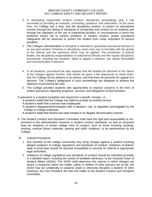- 2. In developing responsible student conduct, disciplinary proceedings play a role secondary to providing an example, counseling, guidance, and admonition. At the same time, the College has a duty, and the disciplinary powers, to protect its educational mission through the setting of standards of scholarship and conduct for its students and through the regulation of the use of institutional facilities. In circumstances in which the preferred means fail to resolve problems of student conduct, proper procedural safeguards will be observed to protect the student from unfair imposition of serious penalties.
- 3. The College's administration of discipline is intended to guarantee procedural fairness to an accused student. Practices in disciplinary cases may vary in formality with the gravity of the offense and the sanctions which may be applied. The jurisdiction of judicial bodies, the disciplinary responsibilities of institutional officials and the regular disciplinary procedures, including the students' rights to appeal a decision, are clearly formulated and communicated in advance.
- 4. In all situations, procedural fair play requires that the student be informed of the nature of the charges against him/her, that he/she be given a fair opportunity to refute them, that the College not be arbitrary in its actions, and that there be provision for appeal of a decision. The College's safeguards in such proceedings are designed to achieve the objective of procedural fair play.
- 5. The College provides students with opportunities to express concerns in the form of written grievances regarding programs, services, and allegations of discrimination.

A grievance is a student complaint and request for a specific remedy, i.e.:

- A student's belief that the College has failed to provide an entitled service.
- A student's belief that a service was inadequate.
- A student's disagreement/complaint with a decision, rule, or regulation promulgated by the College or college employee.
- A student's belief that he/she has been treated in an illegally discriminatory manner.
- 6. The Student Conduct and Discipline Committee shall have the right and responsibility to recommend to the administration revisions in student conduct standards, as well as proposed fines for violations of certain college rules of conduct, such as those involving smoking, drinking, overdue library materials, parking and traffic violations, to be administered by the College.
- B. Judicial Procedures
	- 1. Any member of the college community may bring charges against a student involving alleged violations of college regulations and standards of conduct. Violations of federal, state or local laws should be reported immediately to security for referral to appropriate legal authorities.
	- 2. Violations of college regulations and standards of conduct should be submitted promptly in a detailed report, including the names of available witnesses, to the Assistant Dean of Student Affairs (ADSA). The ADSA shall determine the manner in which charges are heard. In instances where the health, safety or welfare of other persons are at risk, the ADSA may act unilaterally to suspend, expel or otherwise discipline a student. In other instances, the Vice President will refer the matter to the Student Conduct and Discipline Committee.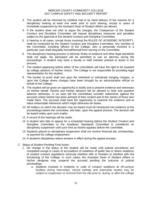- 3. The student will be informed by certified mail or by hand delivery of the reasons for a disciplinary hearing at least one week prior to such hearing, except in cases of immediate suspension by the Assistant Dean of Student Affairs (as above).
- 4. If the student does not wish to argue the charges, the Chairperson of the Student Conduct and Discipline Committee will impose disciplinary measures and penalties subject to the approval of the Student Conduct and Discipline Committee.
- 5. A hearing in all cases, except those involving the RULES OF ACADEMIC INTEGRITY, shall be conducted by the Student Conduct and Discipline Committee. Any member of the Committee, including officers of the College, who is personally involved in a particular case shall disqualify himself/herself from serving on the Committee.
- 6. The disciplinary hearing process is informal. Rules of evidence and other legal standards shall not apply. No participant will be permitted to use an attorney during the proceedings. A student may have a faculty or staff member present to assist in the process.
- 7. The student appearing before either of the committees will have the right to be assisted by college advisors of his/her choice. The College is not responsible for providing legal representation for the student.
- 8. The burden of proof shall rest upon the individual or individuals bringing charges, or upon the College where charges have been brought by an administrative official on behalf of the College.
- 9. The student will be given an opportunity to testify and to present evidence and witnesses on his/her behalf. He/she and his/her advisors will be allowed to hear and question adverse witnesses. In no case will the committees consider statements against the accused unless he/she has been advised of their content and of the names of those who made them. The accused shall have the opportunity to examine the evidence and to rebut unfavorable inferences which might otherwise be drawn.
- 10. All matters on which the decision may be based must be introduced into evidence at the proceedings before the committee, and later, upon the appeal process. The decision will be based solely upon such matter.
- 11. A record of the hearings will be made.
- 12. A student who fails to appear for a scheduled hearing before the Student Conduct and Discipline Committee or the Academic Standards Committee is considered on disciplinary suspension until such time as he/she appears before the committee.
- 13. Students placed on disciplinary suspension shall not receive financial aid, scholarships, or payment for college employment.
- 14. A student's disciplinary status remains in effect during the appeal process.
- C. Status of Student Pending Final Action
	- 1. No change in the status of the student will be made until judicial procedures are completed except in cases of accusations of violations of public law or where violations of student conduct regulations seriously interfere with or threaten to interfere with the functioning of the College. In such cases, the Assistant Dean of Student Affairs or his/her designee may suspend the accused pending the outcome of judicial proceedings.
		- a. Students involved in incidents or code of conduct violations at off-campus facilities during internships, clinical settings and externship studies may be subject to suspension or removal from the site prior to, during, or after the college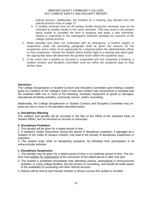judicial process. Additionally, the timeline for a hearing may deviate from the judicial process chart on page 72.

- b. A student removed from an off-campus facility during the semester may not be relocated to another facility in the same semester. This may result in the student being unable to complete the term in progress and begin a new internship, clinical or externship in the subsequent semester pending the outcome of the college judicial process.
- 2. When possible and when not confronted with an emergency, a student subject to suspension under the preceding paragraph shall be given the reasons for the suspension and a notice of an opportunity for a hearing before the administrative officer on that suspension. Should the student waive his/her right to a hearing and admit guilt, the appropriate dean will determine the punitive action within five academic days.
- 3. In the event that a student so accused is suspended and has requested a hearing, a student conduct and discipline committee must act within ten academic days to hear his/her case.

## **Sanctions:**

The College Disciplinarian or Student Conduct and Discipline Committee upon finding a student guilty of a violation of the College's code of rules and conduct may recommend or mandate that the student/s fulfill one or more of the following: monetary repayment of goods or damages, educational sensitivity activities, community service, and/or counseling.

Additionally, the College Disciplinarian or Student Conduct and Discipline Committee may impose any one or more or the penalties described below.

## **a. Disciplinary Warning**

The violation and penalty will be recorded in the files of the Office of the Assistant Dean of Student Affairs, but not recorded on records or transcripts.

## **b. Disciplinary Probation**

1. This penalty will be given for a stated period of time.

2. A student's further misconduct during this period of disciplinary probation, if adjudged as a violation of the codes of campus conduct, may lead to the penalty of disciplinary suspension or expulsion.

3. The student shall, while on disciplinary probation, be forbidden from participation in all extracurricular activities.

## **c. Disciplinary Suspension**

1. This penalty may be given for a stated period of time or an indefinite period of time. The student must petition for readmission at the conclusion of the stated period or after one year.

- 2. The student is prohibited immediately from attending classes, participating in extracurricular activities, or using college facilities, but has access to counseling, and should be made aware of the availability of counseling and other referral services.
- 3. Notices will be sent to each faculty member in whose courses the student is enrolled.